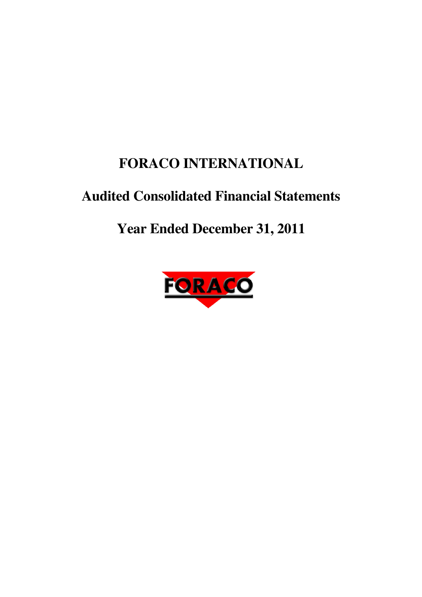# **FORACO INTERNATIONAL**

# **Audited Consolidated Financial Statements**

# **Year Ended December 31, 2011**

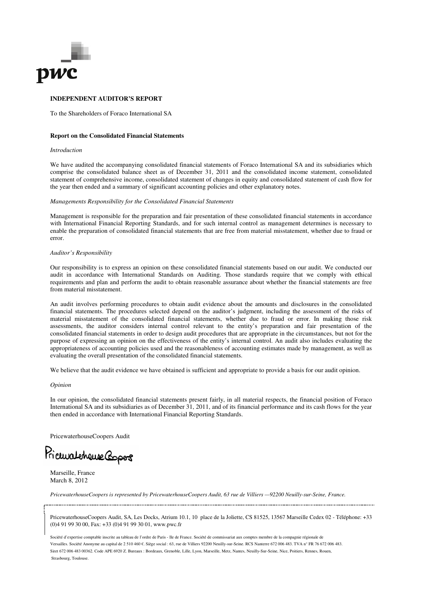

#### **INDEPENDENT AUDITOR'S REPORT**

To the Shareholders of Foraco International SA

#### **Report on the Consolidated Financial Statements**

#### *Introduction*

We have audited the accompanying consolidated financial statements of Foraco International SA and its subsidiaries which comprise the consolidated balance sheet as of December 31, 2011 and the consolidated income statement, consolidated statement of comprehensive income, consolidated statement of changes in equity and consolidated statement of cash flow for the year then ended and a summary of significant accounting policies and other explanatory notes.

#### *Managements Responsibility for the Consolidated Financial Statements*

Management is responsible for the preparation and fair presentation of these consolidated financial statements in accordance with International Financial Reporting Standards, and for such internal control as management determines is necessary to enable the preparation of consolidated financial statements that are free from material misstatement, whether due to fraud or error.

#### *Auditor's Responsibility*

Our responsibility is to express an opinion on these consolidated financial statements based on our audit. We conducted our audit in accordance with International Standards on Auditing. Those standards require that we comply with ethical requirements and plan and perform the audit to obtain reasonable assurance about whether the financial statements are free from material misstatement.

An audit involves performing procedures to obtain audit evidence about the amounts and disclosures in the consolidated financial statements. The procedures selected depend on the auditor's judgment, including the assessment of the risks of material misstatement of the consolidated financial statements, whether due to fraud or error. In making those risk assessments, the auditor considers internal control relevant to the entity's preparation and fair presentation of the consolidated financial statements in order to design audit procedures that are appropriate in the circumstances, but not for the purpose of expressing an opinion on the effectiveness of the entity's internal control. An audit also includes evaluating the appropriateness of accounting policies used and the reasonableness of accounting estimates made by management, as well as evaluating the overall presentation of the consolidated financial statements.

We believe that the audit evidence we have obtained is sufficient and appropriate to provide a basis for our audit opinion.

#### *Opinion*

In our opinion, the consolidated financial statements present fairly, in all material respects, the financial position of Foraco International SA and its subsidiaries as of December 31, 2011, and of its financial performance and its cash flows for the year then ended in accordance with International Financial Reporting Standards.

PricewaterhouseCoopers Audit

Pricuralchause Copers

Marseille, France March 8, 2012

*PricewaterhouseCoopers is represented by PricewaterhouseCoopers Audit, 63 rue de Villiers —92200 Neuilly-sur-Seine, France.*

PricewaterhouseCoopers Audit, SA, Les Docks, Atrium 10.1, 10 place de la Joliette, CS 81525, 13567 Marseille Cedex 02 - Téléphone: +33 (0)4 91 99 30 00, Fax: +33 (0)4 91 99 30 01, www.pwc.fr

Société d'expertise comptable inscrite au tableau de l'ordre de Paris - Ile de France. Société de commissariat aux comptes membre de la compagnie régionale de Versailles. Société Anonyme au capital de 2 510 460 €. Siège social : 63, rue de Villiers 92200 Neuilly-sur-Seine. RCS Nanterre 672 006 483. TVA n° FR 76 672 006 483. Siret 672 006 483 00362. Code APE 6920 Z. Bureaux : Bordeaux, Grenoble, Lille, Lyon, Marseille, Metz, Nantes, Neuilly-Sur-Seine, Nice, Poitiers, Rennes, Rouen, Strasbourg, Toulouse.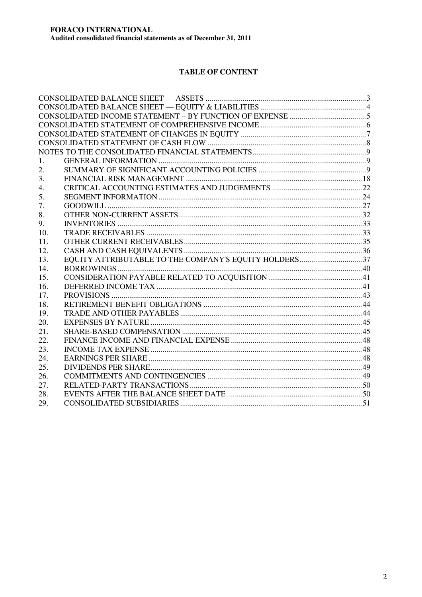## **TABLE OF CONTENT**

| $\mathbf{1}$ . |                                                       |  |
|----------------|-------------------------------------------------------|--|
| 2.             |                                                       |  |
| 3.             |                                                       |  |
| 4.             |                                                       |  |
| 5.             |                                                       |  |
| 7.             |                                                       |  |
| 8.             |                                                       |  |
| 9.             |                                                       |  |
| 10.            |                                                       |  |
| 11.            |                                                       |  |
| 12.            |                                                       |  |
| 13.            | EQUITY ATTRIBUTABLE TO THE COMPANY'S EQUITY HOLDERS37 |  |
| 14.            |                                                       |  |
| 15.            |                                                       |  |
| 16.            |                                                       |  |
| 17.            |                                                       |  |
| 18.            |                                                       |  |
| 19.            |                                                       |  |
| 20.            |                                                       |  |
| 21.            |                                                       |  |
| 22.            |                                                       |  |
| 23.            |                                                       |  |
| 24.            |                                                       |  |
| 25.            |                                                       |  |
| 26.            |                                                       |  |
| 27.            |                                                       |  |
| 28.            |                                                       |  |
| 29.            |                                                       |  |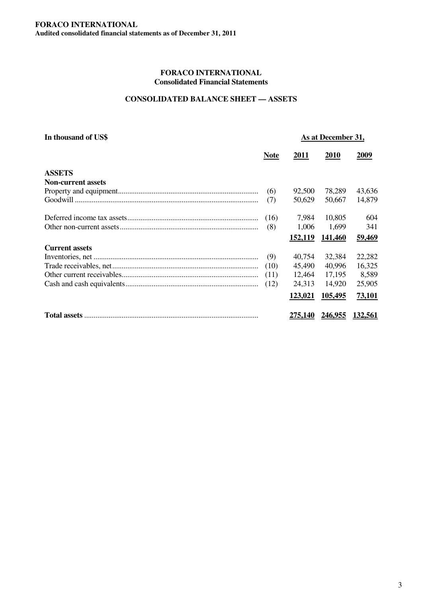## **CONSOLIDATED BALANCE SHEET — ASSETS**

| In thousand of US\$       |             | As at December 31, |                |         |
|---------------------------|-------------|--------------------|----------------|---------|
|                           | <b>Note</b> | 2011               | 2010           | 2009    |
| <b>ASSETS</b>             |             |                    |                |         |
| <b>Non-current assets</b> |             |                    |                |         |
|                           | (6)         | 92,500             | 78,289         | 43,636  |
|                           | (7)         | 50,629             | 50,667         | 14,879  |
|                           | (16)        | 7,984              | 10,805         | 604     |
|                           | (8)         | 1,006              | 1,699          | 341     |
|                           |             | 152,119            | 141,460        | 59,469  |
| <b>Current assets</b>     |             |                    |                |         |
|                           | (9)         | 40,754             | 32,384         | 22,282  |
|                           | (10)        | 45,490             | 40,996         | 16,325  |
|                           | (11)        | 12.464             | 17,195         | 8,589   |
|                           | (12)        | 24,313             | 14,920         | 25,905  |
|                           |             | 123,021            | 105,495        | 73,101  |
|                           |             | <u>275,140</u>     | <u>246,955</u> | 132,561 |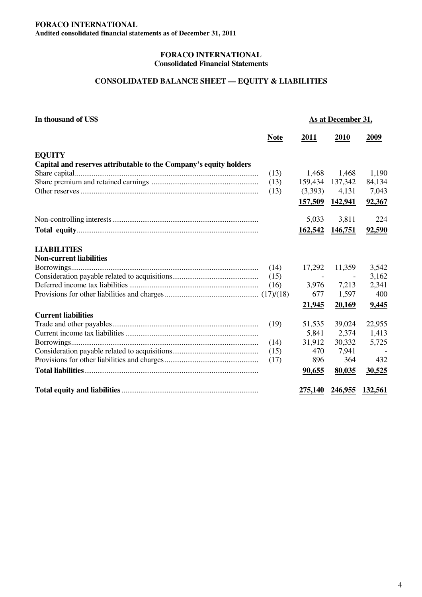## **CONSOLIDATED BALANCE SHEET — EQUITY & LIABILITIES**

| In thousand of US\$                                               |             | As at December 31, |                |         |
|-------------------------------------------------------------------|-------------|--------------------|----------------|---------|
|                                                                   | <b>Note</b> | 2011               | 2010           | 2009    |
| <b>EQUITY</b>                                                     |             |                    |                |         |
| Capital and reserves attributable to the Company's equity holders |             |                    |                |         |
|                                                                   | (13)        | 1,468              | 1,468          | 1,190   |
|                                                                   | (13)        | 159,434            | 137,342        | 84,134  |
|                                                                   | (13)        | (3,393)            | 4,131          | 7,043   |
|                                                                   |             | 157,509            | <u>142,941</u> | 92,367  |
|                                                                   |             | 5,033              | 3,811          | 224     |
|                                                                   |             | 162,542            | 146,751        | 92,590  |
| <b>LIABILITIES</b>                                                |             |                    |                |         |
| <b>Non-current liabilities</b>                                    |             |                    |                |         |
|                                                                   | (14)        | 17,292             | 11,359         | 3,542   |
|                                                                   | (15)        |                    |                | 3,162   |
|                                                                   | (16)        | 3,976              | 7,213          | 2,341   |
|                                                                   |             | 677                | 1,597          | 400     |
|                                                                   |             | 21,945             | 20,169         | 9,445   |
| <b>Current liabilities</b>                                        |             |                    |                |         |
|                                                                   | (19)        | 51,535             | 39,024         | 22,955  |
|                                                                   |             | 5,841              | 2,374          | 1,413   |
|                                                                   | (14)        | 31,912             | 30,332         | 5,725   |
|                                                                   | (15)        | 470                | 7,941          |         |
|                                                                   | (17)        | 896                | 364            | 432     |
|                                                                   |             | 90,655             | 80,035         | 30,525  |
|                                                                   |             | <u>275.140</u>     | 246.955        | 132.561 |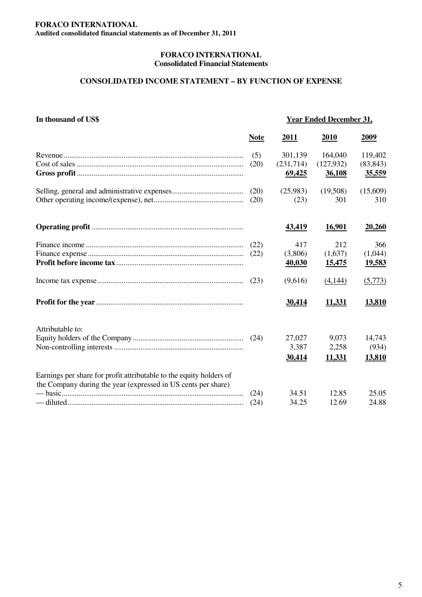## **CONSOLIDATED INCOME STATEMENT – BY FUNCTION OF EXPENSE**

| In thousand of US\$                                                                                                                  |             | <b>Year Ended December 31,</b> |                      |                     |  |
|--------------------------------------------------------------------------------------------------------------------------------------|-------------|--------------------------------|----------------------|---------------------|--|
|                                                                                                                                      | <b>Note</b> | 2011                           | 2010                 | <u>2009</u>         |  |
|                                                                                                                                      | (5)         | 301,139                        | 164,040              | 119,402             |  |
|                                                                                                                                      | (20)        | (231,714)<br>69,425            | (127, 932)<br>36,108 | (83, 843)<br>35,559 |  |
|                                                                                                                                      | (20)        | (25,983)                       | (19,508)             | (15,609)            |  |
|                                                                                                                                      | (20)        | (23)                           | 301                  | 310                 |  |
|                                                                                                                                      |             | <u>43,419</u>                  | 16,901               | 20,260              |  |
|                                                                                                                                      | (22)        | 417                            | 212                  | 366                 |  |
|                                                                                                                                      | (22)        | (3,806)                        | (1,637)              | (1,044)             |  |
|                                                                                                                                      |             | 40,030                         | <u>15,475</u>        | <u>19,583</u>       |  |
|                                                                                                                                      | (23)        | (9,616)                        | (4,144)              | (5,773)             |  |
|                                                                                                                                      |             | 30,414                         | 11,331               | 13,810              |  |
| Attributable to:                                                                                                                     |             |                                |                      |                     |  |
|                                                                                                                                      |             | 27,027                         | 9,073                | 14,743              |  |
|                                                                                                                                      |             | 3,387                          | 2,258                | (934)               |  |
|                                                                                                                                      |             | 30,414                         | 11,331               | 13,810              |  |
| Earnings per share for profit attributable to the equity holders of<br>the Company during the year (expressed in US cents per share) |             |                                |                      |                     |  |
|                                                                                                                                      | (24)        | 34.51                          | 12.85                | 25.05               |  |
|                                                                                                                                      | (24)        | 34.25                          | 12.69                | 24.88               |  |
|                                                                                                                                      |             |                                |                      |                     |  |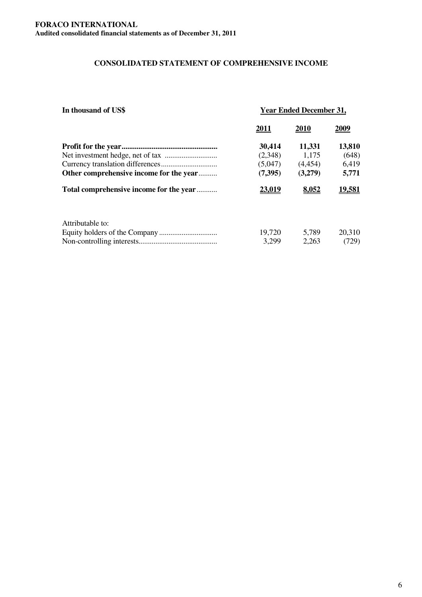## **CONSOLIDATED STATEMENT OF COMPREHENSIVE INCOME**

| In thousand of US\$                     | <b>Year Ended December 31,</b> |         |               |  |  |
|-----------------------------------------|--------------------------------|---------|---------------|--|--|
|                                         | 2011                           | 2010    | 2009          |  |  |
|                                         | 30,414                         | 11,331  | 13,810        |  |  |
|                                         | (2,348)                        | 1,175   | (648)         |  |  |
|                                         | (5,047)                        | (4,454) | 6,419         |  |  |
| Other comprehensive income for the year | (7,395)                        | (3,279) | 5,771         |  |  |
| Total comprehensive income for the year | <u>23,019</u>                  | 8,052   | <u>19,581</u> |  |  |
| Attributable to:                        |                                |         |               |  |  |
|                                         | 19,720                         | 5,789   | 20,310        |  |  |
|                                         | 3,299                          | 2,263   | (729)         |  |  |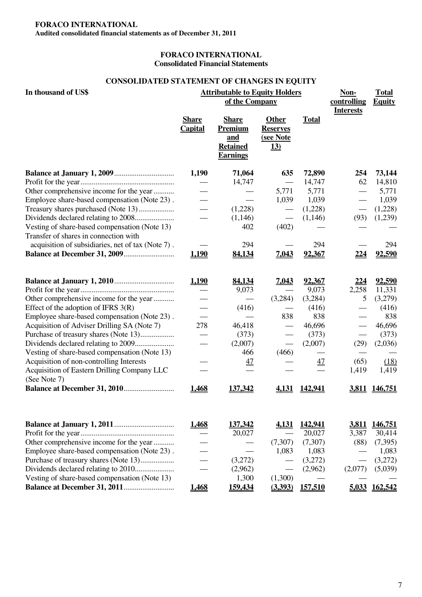## **FORACO INTERNATIONAL**

**Audited consolidated financial statements as of December 31, 2011**

### **FORACO INTERNATIONAL Consolidated Financial Statements**

## **CONSOLIDATED STATEMENT OF CHANGES IN EQUITY**

| In thousand of US\$                                         |                                | <b>Attributable to Equity Holders</b><br>of the Company              | Non-<br>controlling<br><b>Interests</b>                    | <b>Total</b><br><b>Equity</b> |              |          |
|-------------------------------------------------------------|--------------------------------|----------------------------------------------------------------------|------------------------------------------------------------|-------------------------------|--------------|----------|
|                                                             | <b>Share</b><br><b>Capital</b> | <b>Share</b><br>Premium<br>and<br><b>Retained</b><br><b>Earnings</b> | <b>Other</b><br><b>Reserves</b><br>(see Note<br><u>13)</u> | <b>Total</b>                  |              |          |
|                                                             | 1,190                          | 71,064                                                               | 635                                                        | 72,890                        | 254          | 73,144   |
|                                                             |                                | 14,747                                                               |                                                            | 14,747                        | 62           | 14,810   |
| Other comprehensive income for the year                     |                                |                                                                      | 5,771                                                      | 5,771                         |              | 5,771    |
| Employee share-based compensation (Note 23).                |                                |                                                                      | 1,039                                                      | 1,039                         |              | 1,039    |
|                                                             |                                | (1,228)                                                              |                                                            | (1,228)                       |              | (1,228)  |
|                                                             |                                | (1,146)                                                              |                                                            | (1,146)                       | (93)         | (1,239)  |
| Vesting of share-based compensation (Note 13)               |                                | 402                                                                  | (402)                                                      |                               |              |          |
| Transfer of shares in connection with                       |                                |                                                                      |                                                            |                               |              |          |
| acquisition of subsidiaries, net of tax (Note 7).           |                                | 294                                                                  |                                                            | 294                           |              | 294      |
|                                                             | 1,190                          | 84,134                                                               | 7,043                                                      | 92,367                        | <u>224</u>   | 92,590   |
|                                                             | 1,190                          | 84,134                                                               | 7,043                                                      | <u>92,367</u>                 | <u>224</u>   | 92,590   |
|                                                             |                                | 9,073                                                                |                                                            | 9,073                         | 2,258        | 11,331   |
| Other comprehensive income for the year                     |                                |                                                                      | (3,284)                                                    | (3,284)                       | 5            | (3,279)  |
| Effect of the adoption of IFRS $3(R)$                       |                                | (416)                                                                |                                                            | (416)                         |              | (416)    |
| Employee share-based compensation (Note 23).                |                                |                                                                      | 838                                                        | 838                           |              | 838      |
| Acquisition of Adviser Drilling SA (Note 7)                 | 278                            | 46,418                                                               |                                                            | 46,696                        |              | 46,696   |
| Purchase of treasury shares (Note 13)                       |                                | (373)                                                                |                                                            | (373)                         |              | (373)    |
|                                                             |                                | (2,007)                                                              |                                                            | (2,007)                       | (29)         | (2,036)  |
| Vesting of share-based compensation (Note 13)               |                                | 466                                                                  | (466)                                                      |                               |              |          |
| Acquisition of non-controlling Interests                    |                                | $\overline{47}$                                                      |                                                            | $\overline{47}$               | (65)         | (18)     |
| Acquisition of Eastern Drilling Company LLC<br>(See Note 7) |                                |                                                                      |                                                            |                               | 1,419        | 1,419    |
|                                                             | <u>1,468</u>                   | 137,342                                                              | 4,131                                                      | <u>142,941</u>                | <u>3,811</u> | 146,751  |
|                                                             | 1,468                          | 137,342                                                              | 4,131                                                      | 142,941                       | 3,811        | 146,751  |
|                                                             |                                | 20,027                                                               |                                                            | 20,027                        | 3,387        | 30,414   |
| Other comprehensive income for the year                     |                                |                                                                      | (7,307)                                                    | (7,307)                       | (88)         | (7, 395) |
| Employee share-based compensation (Note 23).                |                                |                                                                      | 1,083                                                      | 1,083                         |              | 1,083    |
| Purchase of treasury shares (Note 13)                       |                                | (3,272)                                                              |                                                            | (3,272)                       |              | (3,272)  |
|                                                             |                                | (2,962)                                                              |                                                            | (2,962)                       | (2,077)      | (5,039)  |
| Vesting of share-based compensation (Note 13)               |                                | 1,300                                                                | (1,300)                                                    |                               |              |          |
|                                                             | 1,468                          | 159,434                                                              | (3,393)                                                    | 157,510                       | 5,033        | 162,542  |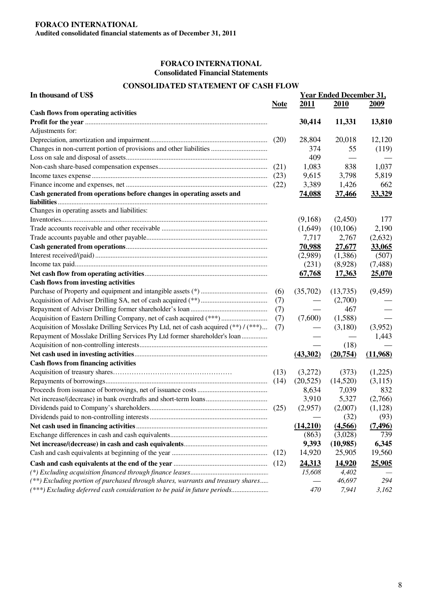#### **CONSOLIDATED STATEMENT OF CASH FLOW**

| 2011<br>2010<br>2009<br><b>Note</b><br><b>Cash flows from operating activities</b><br>30,414<br>11,331<br>13,810<br>Adjustments for:<br>12,120<br>28,804<br>20,018<br>374<br>55<br>(119)<br>409<br>1,083<br>838<br>1,037<br>9,615<br>3,798<br>5,819<br>3,389<br>1,426<br>662<br>Cash generated from operations before changes in operating assets and<br><b>74,088</b><br>33,329<br><u>37,466</u><br>Changes in operating assets and liabilities:<br>(9,168)<br>(2,450)<br>177<br>(10,106)<br>2,190<br>(1,649)<br>7,717<br>(2,632)<br>2,767<br><b>70,988</b><br>33,065<br><u>27,677</u><br>(507)<br>(2,989)<br>(1,386)<br>(231)<br>(8,928)<br>(7,488)<br>25,070<br>67,768<br>17,363<br><b>Cash flows from investing activities</b><br>(9, 459)<br>(35,702)<br>(13,735)<br>(6)<br>(2,700)<br>(7)<br>467<br>(7)<br>Acquisition of Eastern Drilling Company, net of cash acquired (***)<br>(1,588)<br>(7,600)<br>(7)<br>Acquisition of Mosslake Drilling Services Pty Ltd, net of cash acquired (**) / (***)<br>(3,952)<br>(7)<br>(3,180)<br>Repayment of Mosslake Drilling Services Pty Ltd former shareholder's loan<br>1,443<br>(18)<br>(11,968)<br>(43,302)<br>(20,754)<br><b>Cash flows from financing activities</b><br>(373)<br>(1,225)<br>(13)<br>(3,272)<br>(20,525)<br>(14,520)<br>(3,115)<br>8,634<br>7,039<br>832<br>3,910<br>5,327<br>(2,766)<br>(2,957)<br>(2,007)<br>(1,128)<br>(32)<br>(93)<br>(14,210)<br>(4,566)<br>(7, 496)<br>(863)<br>(3,028)<br>739<br>9,393<br>(10,985)<br>6,345<br>14,920<br>25,905<br>19,560<br>14,920<br>25,905<br><u>24,313</u><br>15,608<br>4,402<br>(**) Excluding portion of purchased through shares, warrants and treasury shares<br>46,697<br>294 | In thousand of US\$                                                      |     | <b>Year Ended December 31,</b> |       |
|-------------------------------------------------------------------------------------------------------------------------------------------------------------------------------------------------------------------------------------------------------------------------------------------------------------------------------------------------------------------------------------------------------------------------------------------------------------------------------------------------------------------------------------------------------------------------------------------------------------------------------------------------------------------------------------------------------------------------------------------------------------------------------------------------------------------------------------------------------------------------------------------------------------------------------------------------------------------------------------------------------------------------------------------------------------------------------------------------------------------------------------------------------------------------------------------------------------------------------------------------------------------------------------------------------------------------------------------------------------------------------------------------------------------------------------------------------------------------------------------------------------------------------------------------------------------------------------------------------------------------------------------------------------------------------------------------|--------------------------------------------------------------------------|-----|--------------------------------|-------|
|                                                                                                                                                                                                                                                                                                                                                                                                                                                                                                                                                                                                                                                                                                                                                                                                                                                                                                                                                                                                                                                                                                                                                                                                                                                                                                                                                                                                                                                                                                                                                                                                                                                                                                 |                                                                          |     |                                |       |
|                                                                                                                                                                                                                                                                                                                                                                                                                                                                                                                                                                                                                                                                                                                                                                                                                                                                                                                                                                                                                                                                                                                                                                                                                                                                                                                                                                                                                                                                                                                                                                                                                                                                                                 |                                                                          |     |                                |       |
|                                                                                                                                                                                                                                                                                                                                                                                                                                                                                                                                                                                                                                                                                                                                                                                                                                                                                                                                                                                                                                                                                                                                                                                                                                                                                                                                                                                                                                                                                                                                                                                                                                                                                                 |                                                                          |     |                                |       |
|                                                                                                                                                                                                                                                                                                                                                                                                                                                                                                                                                                                                                                                                                                                                                                                                                                                                                                                                                                                                                                                                                                                                                                                                                                                                                                                                                                                                                                                                                                                                                                                                                                                                                                 |                                                                          |     |                                |       |
|                                                                                                                                                                                                                                                                                                                                                                                                                                                                                                                                                                                                                                                                                                                                                                                                                                                                                                                                                                                                                                                                                                                                                                                                                                                                                                                                                                                                                                                                                                                                                                                                                                                                                                 |                                                                          |     |                                |       |
|                                                                                                                                                                                                                                                                                                                                                                                                                                                                                                                                                                                                                                                                                                                                                                                                                                                                                                                                                                                                                                                                                                                                                                                                                                                                                                                                                                                                                                                                                                                                                                                                                                                                                                 |                                                                          |     |                                |       |
|                                                                                                                                                                                                                                                                                                                                                                                                                                                                                                                                                                                                                                                                                                                                                                                                                                                                                                                                                                                                                                                                                                                                                                                                                                                                                                                                                                                                                                                                                                                                                                                                                                                                                                 |                                                                          |     |                                |       |
|                                                                                                                                                                                                                                                                                                                                                                                                                                                                                                                                                                                                                                                                                                                                                                                                                                                                                                                                                                                                                                                                                                                                                                                                                                                                                                                                                                                                                                                                                                                                                                                                                                                                                                 |                                                                          |     |                                |       |
|                                                                                                                                                                                                                                                                                                                                                                                                                                                                                                                                                                                                                                                                                                                                                                                                                                                                                                                                                                                                                                                                                                                                                                                                                                                                                                                                                                                                                                                                                                                                                                                                                                                                                                 |                                                                          |     |                                |       |
|                                                                                                                                                                                                                                                                                                                                                                                                                                                                                                                                                                                                                                                                                                                                                                                                                                                                                                                                                                                                                                                                                                                                                                                                                                                                                                                                                                                                                                                                                                                                                                                                                                                                                                 |                                                                          |     |                                |       |
|                                                                                                                                                                                                                                                                                                                                                                                                                                                                                                                                                                                                                                                                                                                                                                                                                                                                                                                                                                                                                                                                                                                                                                                                                                                                                                                                                                                                                                                                                                                                                                                                                                                                                                 |                                                                          |     |                                |       |
|                                                                                                                                                                                                                                                                                                                                                                                                                                                                                                                                                                                                                                                                                                                                                                                                                                                                                                                                                                                                                                                                                                                                                                                                                                                                                                                                                                                                                                                                                                                                                                                                                                                                                                 |                                                                          |     |                                |       |
|                                                                                                                                                                                                                                                                                                                                                                                                                                                                                                                                                                                                                                                                                                                                                                                                                                                                                                                                                                                                                                                                                                                                                                                                                                                                                                                                                                                                                                                                                                                                                                                                                                                                                                 |                                                                          |     |                                |       |
|                                                                                                                                                                                                                                                                                                                                                                                                                                                                                                                                                                                                                                                                                                                                                                                                                                                                                                                                                                                                                                                                                                                                                                                                                                                                                                                                                                                                                                                                                                                                                                                                                                                                                                 |                                                                          |     |                                |       |
|                                                                                                                                                                                                                                                                                                                                                                                                                                                                                                                                                                                                                                                                                                                                                                                                                                                                                                                                                                                                                                                                                                                                                                                                                                                                                                                                                                                                                                                                                                                                                                                                                                                                                                 |                                                                          |     |                                |       |
|                                                                                                                                                                                                                                                                                                                                                                                                                                                                                                                                                                                                                                                                                                                                                                                                                                                                                                                                                                                                                                                                                                                                                                                                                                                                                                                                                                                                                                                                                                                                                                                                                                                                                                 |                                                                          |     |                                |       |
|                                                                                                                                                                                                                                                                                                                                                                                                                                                                                                                                                                                                                                                                                                                                                                                                                                                                                                                                                                                                                                                                                                                                                                                                                                                                                                                                                                                                                                                                                                                                                                                                                                                                                                 |                                                                          |     |                                |       |
|                                                                                                                                                                                                                                                                                                                                                                                                                                                                                                                                                                                                                                                                                                                                                                                                                                                                                                                                                                                                                                                                                                                                                                                                                                                                                                                                                                                                                                                                                                                                                                                                                                                                                                 |                                                                          |     |                                |       |
|                                                                                                                                                                                                                                                                                                                                                                                                                                                                                                                                                                                                                                                                                                                                                                                                                                                                                                                                                                                                                                                                                                                                                                                                                                                                                                                                                                                                                                                                                                                                                                                                                                                                                                 |                                                                          |     |                                |       |
|                                                                                                                                                                                                                                                                                                                                                                                                                                                                                                                                                                                                                                                                                                                                                                                                                                                                                                                                                                                                                                                                                                                                                                                                                                                                                                                                                                                                                                                                                                                                                                                                                                                                                                 |                                                                          |     |                                |       |
|                                                                                                                                                                                                                                                                                                                                                                                                                                                                                                                                                                                                                                                                                                                                                                                                                                                                                                                                                                                                                                                                                                                                                                                                                                                                                                                                                                                                                                                                                                                                                                                                                                                                                                 |                                                                          |     |                                |       |
|                                                                                                                                                                                                                                                                                                                                                                                                                                                                                                                                                                                                                                                                                                                                                                                                                                                                                                                                                                                                                                                                                                                                                                                                                                                                                                                                                                                                                                                                                                                                                                                                                                                                                                 |                                                                          |     |                                |       |
|                                                                                                                                                                                                                                                                                                                                                                                                                                                                                                                                                                                                                                                                                                                                                                                                                                                                                                                                                                                                                                                                                                                                                                                                                                                                                                                                                                                                                                                                                                                                                                                                                                                                                                 |                                                                          |     |                                |       |
|                                                                                                                                                                                                                                                                                                                                                                                                                                                                                                                                                                                                                                                                                                                                                                                                                                                                                                                                                                                                                                                                                                                                                                                                                                                                                                                                                                                                                                                                                                                                                                                                                                                                                                 |                                                                          |     |                                |       |
|                                                                                                                                                                                                                                                                                                                                                                                                                                                                                                                                                                                                                                                                                                                                                                                                                                                                                                                                                                                                                                                                                                                                                                                                                                                                                                                                                                                                                                                                                                                                                                                                                                                                                                 |                                                                          |     |                                |       |
|                                                                                                                                                                                                                                                                                                                                                                                                                                                                                                                                                                                                                                                                                                                                                                                                                                                                                                                                                                                                                                                                                                                                                                                                                                                                                                                                                                                                                                                                                                                                                                                                                                                                                                 |                                                                          |     |                                |       |
|                                                                                                                                                                                                                                                                                                                                                                                                                                                                                                                                                                                                                                                                                                                                                                                                                                                                                                                                                                                                                                                                                                                                                                                                                                                                                                                                                                                                                                                                                                                                                                                                                                                                                                 |                                                                          |     |                                |       |
|                                                                                                                                                                                                                                                                                                                                                                                                                                                                                                                                                                                                                                                                                                                                                                                                                                                                                                                                                                                                                                                                                                                                                                                                                                                                                                                                                                                                                                                                                                                                                                                                                                                                                                 |                                                                          |     |                                |       |
|                                                                                                                                                                                                                                                                                                                                                                                                                                                                                                                                                                                                                                                                                                                                                                                                                                                                                                                                                                                                                                                                                                                                                                                                                                                                                                                                                                                                                                                                                                                                                                                                                                                                                                 |                                                                          |     |                                |       |
|                                                                                                                                                                                                                                                                                                                                                                                                                                                                                                                                                                                                                                                                                                                                                                                                                                                                                                                                                                                                                                                                                                                                                                                                                                                                                                                                                                                                                                                                                                                                                                                                                                                                                                 |                                                                          |     |                                |       |
|                                                                                                                                                                                                                                                                                                                                                                                                                                                                                                                                                                                                                                                                                                                                                                                                                                                                                                                                                                                                                                                                                                                                                                                                                                                                                                                                                                                                                                                                                                                                                                                                                                                                                                 |                                                                          |     |                                |       |
|                                                                                                                                                                                                                                                                                                                                                                                                                                                                                                                                                                                                                                                                                                                                                                                                                                                                                                                                                                                                                                                                                                                                                                                                                                                                                                                                                                                                                                                                                                                                                                                                                                                                                                 |                                                                          |     |                                |       |
|                                                                                                                                                                                                                                                                                                                                                                                                                                                                                                                                                                                                                                                                                                                                                                                                                                                                                                                                                                                                                                                                                                                                                                                                                                                                                                                                                                                                                                                                                                                                                                                                                                                                                                 |                                                                          |     |                                |       |
|                                                                                                                                                                                                                                                                                                                                                                                                                                                                                                                                                                                                                                                                                                                                                                                                                                                                                                                                                                                                                                                                                                                                                                                                                                                                                                                                                                                                                                                                                                                                                                                                                                                                                                 |                                                                          |     |                                |       |
|                                                                                                                                                                                                                                                                                                                                                                                                                                                                                                                                                                                                                                                                                                                                                                                                                                                                                                                                                                                                                                                                                                                                                                                                                                                                                                                                                                                                                                                                                                                                                                                                                                                                                                 |                                                                          |     |                                |       |
|                                                                                                                                                                                                                                                                                                                                                                                                                                                                                                                                                                                                                                                                                                                                                                                                                                                                                                                                                                                                                                                                                                                                                                                                                                                                                                                                                                                                                                                                                                                                                                                                                                                                                                 |                                                                          |     |                                |       |
|                                                                                                                                                                                                                                                                                                                                                                                                                                                                                                                                                                                                                                                                                                                                                                                                                                                                                                                                                                                                                                                                                                                                                                                                                                                                                                                                                                                                                                                                                                                                                                                                                                                                                                 |                                                                          |     |                                |       |
|                                                                                                                                                                                                                                                                                                                                                                                                                                                                                                                                                                                                                                                                                                                                                                                                                                                                                                                                                                                                                                                                                                                                                                                                                                                                                                                                                                                                                                                                                                                                                                                                                                                                                                 |                                                                          |     |                                |       |
|                                                                                                                                                                                                                                                                                                                                                                                                                                                                                                                                                                                                                                                                                                                                                                                                                                                                                                                                                                                                                                                                                                                                                                                                                                                                                                                                                                                                                                                                                                                                                                                                                                                                                                 |                                                                          |     |                                |       |
|                                                                                                                                                                                                                                                                                                                                                                                                                                                                                                                                                                                                                                                                                                                                                                                                                                                                                                                                                                                                                                                                                                                                                                                                                                                                                                                                                                                                                                                                                                                                                                                                                                                                                                 |                                                                          |     |                                |       |
|                                                                                                                                                                                                                                                                                                                                                                                                                                                                                                                                                                                                                                                                                                                                                                                                                                                                                                                                                                                                                                                                                                                                                                                                                                                                                                                                                                                                                                                                                                                                                                                                                                                                                                 |                                                                          |     |                                |       |
|                                                                                                                                                                                                                                                                                                                                                                                                                                                                                                                                                                                                                                                                                                                                                                                                                                                                                                                                                                                                                                                                                                                                                                                                                                                                                                                                                                                                                                                                                                                                                                                                                                                                                                 |                                                                          |     |                                |       |
|                                                                                                                                                                                                                                                                                                                                                                                                                                                                                                                                                                                                                                                                                                                                                                                                                                                                                                                                                                                                                                                                                                                                                                                                                                                                                                                                                                                                                                                                                                                                                                                                                                                                                                 |                                                                          |     |                                |       |
|                                                                                                                                                                                                                                                                                                                                                                                                                                                                                                                                                                                                                                                                                                                                                                                                                                                                                                                                                                                                                                                                                                                                                                                                                                                                                                                                                                                                                                                                                                                                                                                                                                                                                                 | (***) Excluding deferred cash consideration to be paid in future periods | 470 | 7,941                          | 3,162 |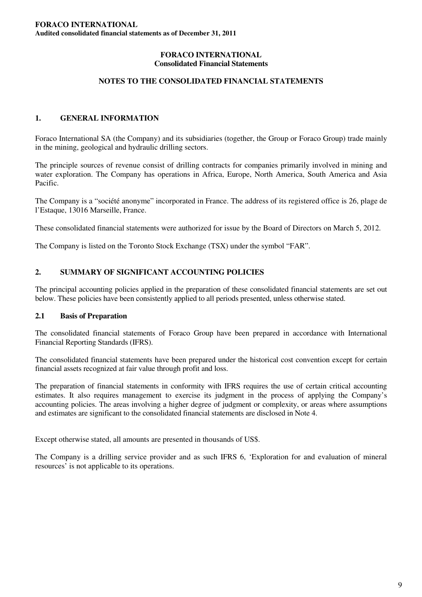## **NOTES TO THE CONSOLIDATED FINANCIAL STATEMENTS**

## **1. GENERAL INFORMATION**

Foraco International SA (the Company) and its subsidiaries (together, the Group or Foraco Group) trade mainly in the mining, geological and hydraulic drilling sectors.

The principle sources of revenue consist of drilling contracts for companies primarily involved in mining and water exploration. The Company has operations in Africa, Europe, North America, South America and Asia Pacific.

The Company is a "société anonyme" incorporated in France. The address of its registered office is 26, plage de l'Estaque, 13016 Marseille, France.

These consolidated financial statements were authorized for issue by the Board of Directors on March 5, 2012.

The Company is listed on the Toronto Stock Exchange (TSX) under the symbol "FAR".

### **2. SUMMARY OF SIGNIFICANT ACCOUNTING POLICIES**

The principal accounting policies applied in the preparation of these consolidated financial statements are set out below. These policies have been consistently applied to all periods presented, unless otherwise stated.

#### **2.1 Basis of Preparation**

The consolidated financial statements of Foraco Group have been prepared in accordance with International Financial Reporting Standards (IFRS).

The consolidated financial statements have been prepared under the historical cost convention except for certain financial assets recognized at fair value through profit and loss.

The preparation of financial statements in conformity with IFRS requires the use of certain critical accounting estimates. It also requires management to exercise its judgment in the process of applying the Company's accounting policies. The areas involving a higher degree of judgment or complexity, or areas where assumptions and estimates are significant to the consolidated financial statements are disclosed in Note 4.

Except otherwise stated, all amounts are presented in thousands of US\$.

The Company is a drilling service provider and as such IFRS 6, 'Exploration for and evaluation of mineral resources' is not applicable to its operations.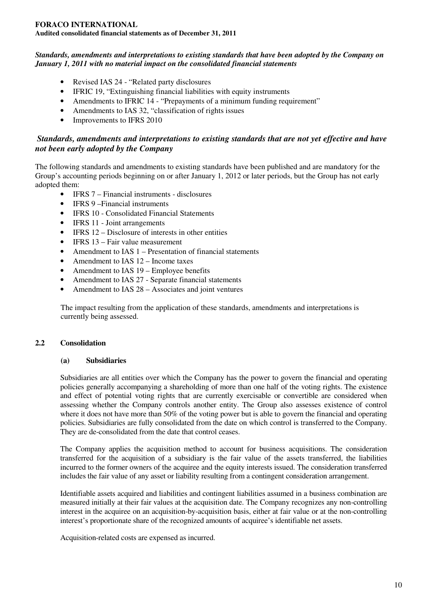## **FORACO INTERNATIONAL**

**Audited consolidated financial statements as of December 31, 2011**

### *Standards, amendments and interpretations to existing standards that have been adopted by the Company on January 1, 2011 with no material impact on the consolidated financial statements*

- Revised IAS 24 "Related party disclosures
- IFRIC 19, "Extinguishing financial liabilities with equity instruments
- Amendments to IFRIC 14 "Prepayments of a minimum funding requirement"
- Amendments to IAS 32, "classification of rights issues
- Improvements to IFRS 2010

## *Standards, amendments and interpretations to existing standards that are not yet effective and have not been early adopted by the Company*

The following standards and amendments to existing standards have been published and are mandatory for the Group's accounting periods beginning on or after January 1, 2012 or later periods, but the Group has not early adopted them:

- IFRS 7 Financial instruments disclosures
- IFRS 9 Financial instruments
- IFRS 10 Consolidated Financial Statements
- IFRS 11 Joint arrangements
- IFRS 12 Disclosure of interests in other entities
- IFRS 13 Fair value measurement
- Amendment to IAS 1 Presentation of financial statements
- Amendment to IAS 12 Income taxes
- Amendment to IAS 19 Employee benefits
- Amendment to IAS 27 Separate financial statements
- Amendment to IAS 28 Associates and joint ventures

The impact resulting from the application of these standards, amendments and interpretations is currently being assessed.

## **2.2 Consolidation**

## **(a) Subsidiaries**

Subsidiaries are all entities over which the Company has the power to govern the financial and operating policies generally accompanying a shareholding of more than one half of the voting rights. The existence and effect of potential voting rights that are currently exercisable or convertible are considered when assessing whether the Company controls another entity. The Group also assesses existence of control where it does not have more than 50% of the voting power but is able to govern the financial and operating policies. Subsidiaries are fully consolidated from the date on which control is transferred to the Company. They are de-consolidated from the date that control ceases.

The Company applies the acquisition method to account for business acquisitions. The consideration transferred for the acquisition of a subsidiary is the fair value of the assets transferred, the liabilities incurred to the former owners of the acquiree and the equity interests issued. The consideration transferred includes the fair value of any asset or liability resulting from a contingent consideration arrangement.

Identifiable assets acquired and liabilities and contingent liabilities assumed in a business combination are measured initially at their fair values at the acquisition date. The Company recognizes any non-controlling interest in the acquiree on an acquisition-by-acquisition basis, either at fair value or at the non-controlling interest's proportionate share of the recognized amounts of acquiree's identifiable net assets.

Acquisition-related costs are expensed as incurred.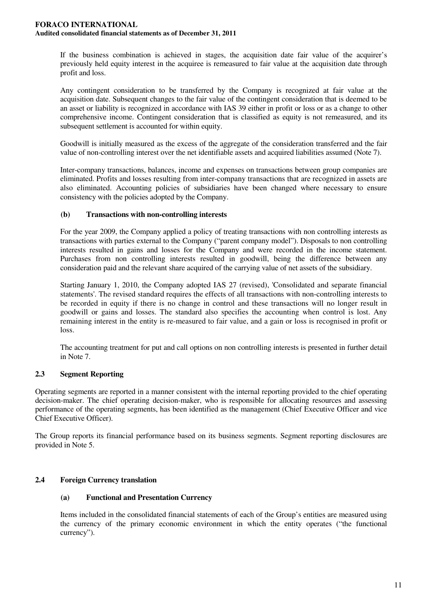If the business combination is achieved in stages, the acquisition date fair value of the acquirer's previously held equity interest in the acquiree is remeasured to fair value at the acquisition date through profit and loss.

Any contingent consideration to be transferred by the Company is recognized at fair value at the acquisition date. Subsequent changes to the fair value of the contingent consideration that is deemed to be an asset or liability is recognized in accordance with IAS 39 either in profit or loss or as a change to other comprehensive income. Contingent consideration that is classified as equity is not remeasured, and its subsequent settlement is accounted for within equity.

Goodwill is initially measured as the excess of the aggregate of the consideration transferred and the fair value of non-controlling interest over the net identifiable assets and acquired liabilities assumed (Note 7).

Inter-company transactions, balances, income and expenses on transactions between group companies are eliminated. Profits and losses resulting from inter-company transactions that are recognized in assets are also eliminated. Accounting policies of subsidiaries have been changed where necessary to ensure consistency with the policies adopted by the Company.

## **(b) Transactions with non-controlling interests**

For the year 2009, the Company applied a policy of treating transactions with non controlling interests as transactions with parties external to the Company ("parent company model"). Disposals to non controlling interests resulted in gains and losses for the Company and were recorded in the income statement. Purchases from non controlling interests resulted in goodwill, being the difference between any consideration paid and the relevant share acquired of the carrying value of net assets of the subsidiary.

Starting January 1, 2010, the Company adopted IAS 27 (revised), 'Consolidated and separate financial statements'. The revised standard requires the effects of all transactions with non-controlling interests to be recorded in equity if there is no change in control and these transactions will no longer result in goodwill or gains and losses. The standard also specifies the accounting when control is lost. Any remaining interest in the entity is re-measured to fair value, and a gain or loss is recognised in profit or loss.

The accounting treatment for put and call options on non controlling interests is presented in further detail in Note 7.

## **2.3 Segment Reporting**

Operating segments are reported in a manner consistent with the internal reporting provided to the chief operating decision-maker. The chief operating decision-maker, who is responsible for allocating resources and assessing performance of the operating segments, has been identified as the management (Chief Executive Officer and vice Chief Executive Officer).

The Group reports its financial performance based on its business segments. Segment reporting disclosures are provided in Note 5.

## **2.4 Foreign Currency translation**

## **(a) Functional and Presentation Currency**

Items included in the consolidated financial statements of each of the Group's entities are measured using the currency of the primary economic environment in which the entity operates ("the functional currency").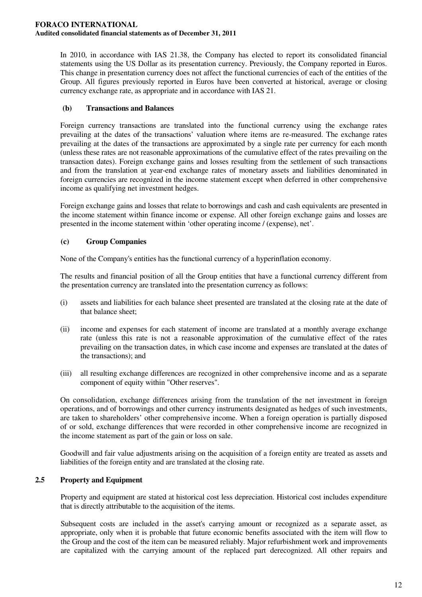In 2010, in accordance with IAS 21.38, the Company has elected to report its consolidated financial statements using the US Dollar as its presentation currency. Previously, the Company reported in Euros. This change in presentation currency does not affect the functional currencies of each of the entities of the Group. All figures previously reported in Euros have been converted at historical, average or closing currency exchange rate, as appropriate and in accordance with IAS 21.

## **(b) Transactions and Balances**

Foreign currency transactions are translated into the functional currency using the exchange rates prevailing at the dates of the transactions' valuation where items are re-measured. The exchange rates prevailing at the dates of the transactions are approximated by a single rate per currency for each month (unless these rates are not reasonable approximations of the cumulative effect of the rates prevailing on the transaction dates). Foreign exchange gains and losses resulting from the settlement of such transactions and from the translation at year-end exchange rates of monetary assets and liabilities denominated in foreign currencies are recognized in the income statement except when deferred in other comprehensive income as qualifying net investment hedges.

Foreign exchange gains and losses that relate to borrowings and cash and cash equivalents are presented in the income statement within finance income or expense. All other foreign exchange gains and losses are presented in the income statement within 'other operating income / (expense), net'.

## **(c) Group Companies**

None of the Company's entities has the functional currency of a hyperinflation economy.

The results and financial position of all the Group entities that have a functional currency different from the presentation currency are translated into the presentation currency as follows:

- (i) assets and liabilities for each balance sheet presented are translated at the closing rate at the date of that balance sheet;
- (ii) income and expenses for each statement of income are translated at a monthly average exchange rate (unless this rate is not a reasonable approximation of the cumulative effect of the rates prevailing on the transaction dates, in which case income and expenses are translated at the dates of the transactions); and
- (iii) all resulting exchange differences are recognized in other comprehensive income and as a separate component of equity within "Other reserves".

On consolidation, exchange differences arising from the translation of the net investment in foreign operations, and of borrowings and other currency instruments designated as hedges of such investments, are taken to shareholders' other comprehensive income. When a foreign operation is partially disposed of or sold, exchange differences that were recorded in other comprehensive income are recognized in the income statement as part of the gain or loss on sale.

Goodwill and fair value adjustments arising on the acquisition of a foreign entity are treated as assets and liabilities of the foreign entity and are translated at the closing rate.

## **2.5 Property and Equipment**

Property and equipment are stated at historical cost less depreciation. Historical cost includes expenditure that is directly attributable to the acquisition of the items.

Subsequent costs are included in the asset's carrying amount or recognized as a separate asset, as appropriate, only when it is probable that future economic benefits associated with the item will flow to the Group and the cost of the item can be measured reliably. Major refurbishment work and improvements are capitalized with the carrying amount of the replaced part derecognized. All other repairs and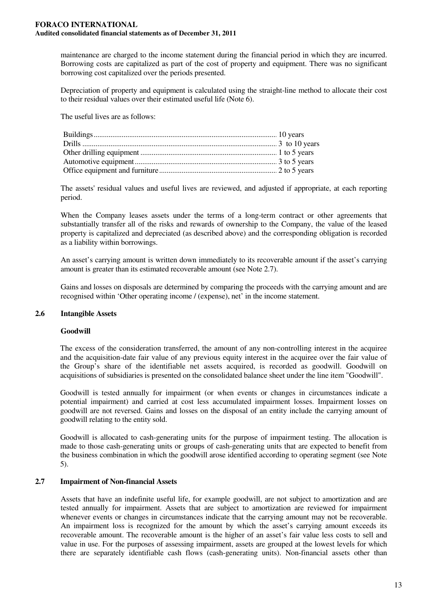maintenance are charged to the income statement during the financial period in which they are incurred. Borrowing costs are capitalized as part of the cost of property and equipment. There was no significant borrowing cost capitalized over the periods presented.

Depreciation of property and equipment is calculated using the straight-line method to allocate their cost to their residual values over their estimated useful life (Note 6).

The useful lives are as follows:

The assets'residual values and useful lives are reviewed, and adjusted if appropriate, at each reporting period.

When the Company leases assets under the terms of a long-term contract or other agreements that substantially transfer all of the risks and rewards of ownership to the Company, the value of the leased property is capitalized and depreciated (as described above) and the corresponding obligation is recorded as a liability within borrowings.

An asset's carrying amount is written down immediately to its recoverable amount if the asset's carrying amount is greater than its estimated recoverable amount (see Note 2.7).

Gains and losses on disposals are determined by comparing the proceeds with the carrying amount and are recognised within 'Other operating income / (expense), net' in the income statement.

## **2.6 Intangible Assets**

#### **Goodwill**

The excess of the consideration transferred, the amount of any non-controlling interest in the acquiree and the acquisition-date fair value of any previous equity interest in the acquiree over the fair value of the Group's share of the identifiable net assets acquired, is recorded as goodwill. Goodwill on acquisitions of subsidiaries is presented on the consolidated balance sheet under the line item "Goodwill".

Goodwill is tested annually for impairment (or when events or changes in circumstances indicate a potential impairment) and carried at cost less accumulated impairment losses. Impairment losses on goodwill are not reversed. Gains and losses on the disposal of an entity include the carrying amount of goodwill relating to the entity sold.

Goodwill is allocated to cash-generating units for the purpose of impairment testing. The allocation is made to those cash-generating units or groups of cash-generating units that are expected to benefit from the business combination in which the goodwill arose identified according to operating segment (see Note 5).

#### **2.7 Impairment of Non-financial Assets**

Assets that have an indefinite useful life, for example goodwill, are not subject to amortization and are tested annually for impairment. Assets that are subject to amortization are reviewed for impairment whenever events or changes in circumstances indicate that the carrying amount may not be recoverable. An impairment loss is recognized for the amount by which the asset's carrying amount exceeds its recoverable amount. The recoverable amount is the higher of an asset's fair value less costs to sell and value in use. For the purposes of assessing impairment, assets are grouped at the lowest levels for which there are separately identifiable cash flows (cash-generating units). Non-financial assets other than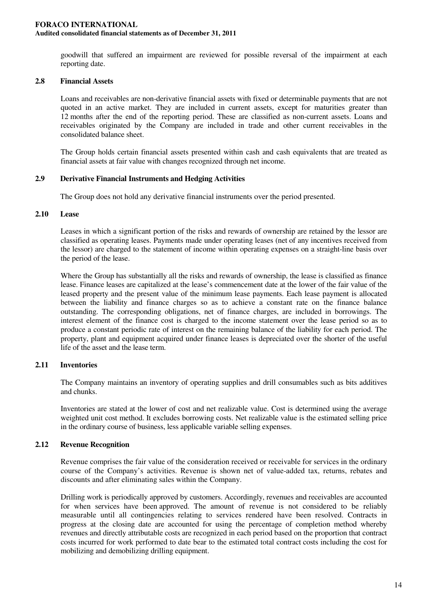goodwill that suffered an impairment are reviewed for possible reversal of the impairment at each reporting date.

### **2.8 Financial Assets**

Loans and receivables are non-derivative financial assets with fixed or determinable payments that are not quoted in an active market. They are included in current assets, except for maturities greater than 12 months after the end of the reporting period. These are classified as non-current assets. Loans and receivables originated by the Company are included in trade and other current receivables in the consolidated balance sheet.

The Group holds certain financial assets presented within cash and cash equivalents that are treated as financial assets at fair value with changes recognized through net income.

### **2.9 Derivative Financial Instruments and Hedging Activities**

The Group does not hold any derivative financial instruments over the period presented.

### **2.10 Lease**

Leases in which a significant portion of the risks and rewards of ownership are retained by the lessor are classified as operating leases. Payments made under operating leases (net of any incentives received from the lessor) are charged to the statement of income within operating expenses on a straight-line basis over the period of the lease.

Where the Group has substantially all the risks and rewards of ownership, the lease is classified as finance lease. Finance leases are capitalized at the lease's commencement date at the lower of the fair value of the leased property and the present value of the minimum lease payments. Each lease payment is allocated between the liability and finance charges so as to achieve a constant rate on the finance balance outstanding. The corresponding obligations, net of finance charges, are included in borrowings. The interest element of the finance cost is charged to the income statement over the lease period so as to produce a constant periodic rate of interest on the remaining balance of the liability for each period. The property, plant and equipment acquired under finance leases is depreciated over the shorter of the useful life of the asset and the lease term.

## **2.11 Inventories**

The Company maintains an inventory of operating supplies and drill consumables such as bits additives and chunks.

Inventories are stated at the lower of cost and net realizable value. Cost is determined using the average weighted unit cost method. It excludes borrowing costs. Net realizable value is the estimated selling price in the ordinary course of business, less applicable variable selling expenses.

## **2.12 Revenue Recognition**

Revenue comprises the fair value of the consideration received or receivable for services in the ordinary course of the Company's activities. Revenue is shown net of value-added tax, returns, rebates and discounts and after eliminating sales within the Company.

Drilling work is periodically approved by customers. Accordingly, revenues and receivables are accounted for when services have been approved. The amount of revenue is not considered to be reliably measurable until all contingencies relating to services rendered have been resolved. Contracts in progress at the closing date are accounted for using the percentage of completion method whereby revenues and directly attributable costs are recognized in each period based on the proportion that contract costs incurred for work performed to date bear to the estimated total contract costs including the cost for mobilizing and demobilizing drilling equipment.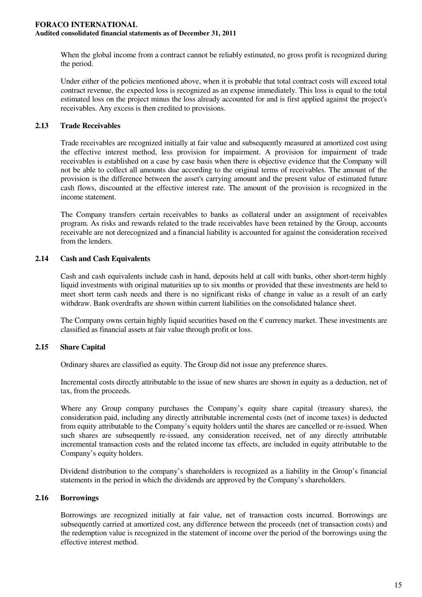When the global income from a contract cannot be reliably estimated, no gross profit is recognized during the period.

Under either of the policies mentioned above, when it is probable that total contract costs will exceed total contract revenue, the expected loss is recognized as an expense immediately. This loss is equal to the total estimated loss on the project minus the loss already accounted for and is first applied against the project's receivables. Any excess is then credited to provisions.

## **2.13 Trade Receivables**

Trade receivables are recognized initially at fair value and subsequently measured at amortized cost using the effective interest method, less provision for impairment. A provision for impairment of trade receivables is established on a case by case basis when there is objective evidence that the Company will not be able to collect all amounts due according to the original terms of receivables. The amount of the provision is the difference between the asset's carrying amount and the present value of estimated future cash flows, discounted at the effective interest rate. The amount of the provision is recognized in the income statement.

The Company transfers certain receivables to banks as collateral under an assignment of receivables program. As risks and rewards related to the trade receivables have been retained by the Group, accounts receivable are not derecognized and a financial liability is accounted for against the consideration received from the lenders.

## **2.14 Cash and Cash Equivalents**

Cash and cash equivalents include cash in hand, deposits held at call with banks, other short-term highly liquid investments with original maturities up to six months or provided that these investments are held to meet short term cash needs and there is no significant risks of change in value as a result of an early withdraw. Bank overdrafts are shown within current liabilities on the consolidated balance sheet.

The Company owns certain highly liquid securities based on the  $\epsilon$  currency market. These investments are classified as financial assets at fair value through profit or loss.

## **2.15 Share Capital**

Ordinary shares are classified as equity. The Group did not issue any preference shares.

Incremental costs directly attributable to the issue of new shares are shown in equity as a deduction, net of tax, from the proceeds.

Where any Group company purchases the Company's equity share capital (treasury shares), the consideration paid, including any directly attributable incremental costs (net of income taxes) is deducted from equity attributable to the Company's equity holders until the shares are cancelled or re-issued. When such shares are subsequently re-issued, any consideration received, net of any directly attributable incremental transaction costs and the related income tax effects, are included in equity attributable to the Company's equity holders.

Dividend distribution to the company's shareholders is recognized as a liability in the Group's financial statements in the period in which the dividends are approved by the Company's shareholders.

## **2.16 Borrowings**

Borrowings are recognized initially at fair value, net of transaction costs incurred. Borrowings are subsequently carried at amortized cost, any difference between the proceeds (net of transaction costs) and the redemption value is recognized in the statement of income over the period of the borrowings using the effective interest method.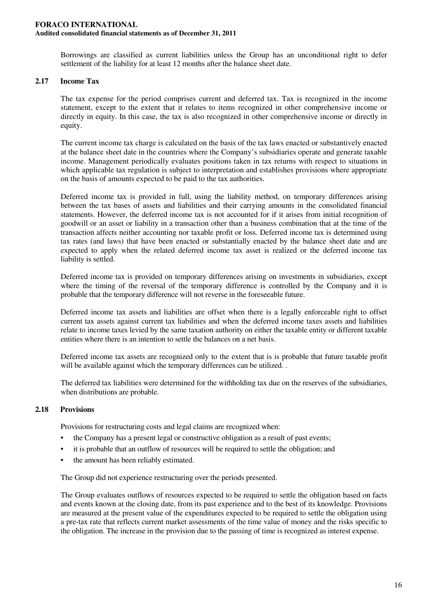Borrowings are classified as current liabilities unless the Group has an unconditional right to defer settlement of the liability for at least 12 months after the balance sheet date.

### **2.17 Income Tax**

The tax expense for the period comprises current and deferred tax. Tax is recognized in the income statement, except to the extent that it relates to items recognized in other comprehensive income or directly in equity. In this case, the tax is also recognized in other comprehensive income or directly in equity.

The current income tax charge is calculated on the basis of the tax laws enacted or substantively enacted at the balance sheet date in the countries where the Company's subsidiaries operate and generate taxable income. Management periodically evaluates positions taken in tax returns with respect to situations in which applicable tax regulation is subject to interpretation and establishes provisions where appropriate on the basis of amounts expected to be paid to the tax authorities.

Deferred income tax is provided in full, using the liability method, on temporary differences arising between the tax bases of assets and liabilities and their carrying amounts in the consolidated financial statements. However, the deferred income tax is not accounted for if it arises from initial recognition of goodwill or an asset or liability in a transaction other than a business combination that at the time of the transaction affects neither accounting nor taxable profit or loss. Deferred income tax is determined using tax rates (and laws) that have been enacted or substantially enacted by the balance sheet date and are expected to apply when the related deferred income tax asset is realized or the deferred income tax liability is settled.

Deferred income tax is provided on temporary differences arising on investments in subsidiaries, except where the timing of the reversal of the temporary difference is controlled by the Company and it is probable that the temporary difference will not reverse in the foreseeable future.

Deferred income tax assets and liabilities are offset when there is a legally enforceable right to offset current tax assets against current tax liabilities and when the deferred income taxes assets and liabilities relate to income taxes levied by the same taxation authority on either the taxable entity or different taxable entities where there is an intention to settle the balances on a net basis.

Deferred income tax assets are recognized only to the extent that is is probable that future taxable profit will be available against which the temporary differences can be utilized. .

The deferred tax liabilities were determined for the withholding tax due on the reserves of the subsidiaries, when distributions are probable.

#### **2.18 Provisions**

Provisions for restructuring costs and legal claims are recognized when:

- the Company has a present legal or constructive obligation as a result of past events;
- it is probable that an outflow of resources will be required to settle the obligation; and
- the amount has been reliably estimated.

The Group did not experience restructuring over the periods presented.

The Group evaluates outflows of resources expected to be required to settle the obligation based on facts and events known at the closing date, from its past experience and to the best of its knowledge. Provisions are measured at the present value of the expenditures expected to be required to settle the obligation using a pre-tax rate that reflects current market assessments of the time value of money and the risks specific to the obligation. The increase in the provision due to the passing of time is recognized as interest expense.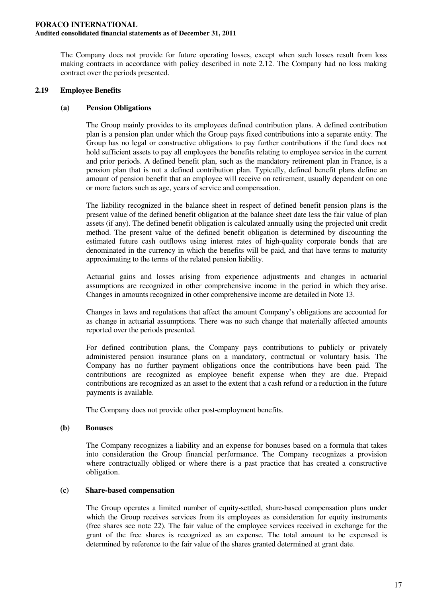The Company does not provide for future operating losses, except when such losses result from loss making contracts in accordance with policy described in note 2.12. The Company had no loss making contract over the periods presented.

## **2.19 Employee Benefits**

### **(a) Pension Obligations**

The Group mainly provides to its employees defined contribution plans. A defined contribution plan is a pension plan under which the Group pays fixed contributions into a separate entity. The Group has no legal or constructive obligations to pay further contributions if the fund does not hold sufficient assets to pay all employees the benefits relating to employee service in the current and prior periods. A defined benefit plan, such as the mandatory retirement plan in France, is a pension plan that is not a defined contribution plan. Typically, defined benefit plans define an amount of pension benefit that an employee will receive on retirement, usually dependent on one or more factors such as age, years of service and compensation.

The liability recognized in the balance sheet in respect of defined benefit pension plans is the present value of the defined benefit obligation at the balance sheet date less the fair value of plan assets (if any). The defined benefit obligation is calculated annually using the projected unit credit method. The present value of the defined benefit obligation is determined by discounting the estimated future cash outflows using interest rates of high-quality corporate bonds that are denominated in the currency in which the benefits will be paid, and that have terms to maturity approximating to the terms of the related pension liability.

Actuarial gains and losses arising from experience adjustments and changes in actuarial assumptions are recognized in other comprehensive income in the period in which they arise. Changes in amounts recognized in other comprehensive income are detailed in Note 13.

Changes in laws and regulations that affect the amount Company's obligations are accounted for as change in actuarial assumptions. There was no such change that materially affected amounts reported over the periods presented.

For defined contribution plans, the Company pays contributions to publicly or privately administered pension insurance plans on a mandatory, contractual or voluntary basis. The Company has no further payment obligations once the contributions have been paid. The contributions are recognized as employee benefit expense when they are due. Prepaid contributions are recognized as an asset to the extent that a cash refund or a reduction in the future payments is available.

The Company does not provide other post-employment benefits.

## **(b) Bonuses**

The Company recognizes a liability and an expense for bonuses based on a formula that takes into consideration the Group financial performance. The Company recognizes a provision where contractually obliged or where there is a past practice that has created a constructive obligation.

## **(c) Share-based compensation**

The Group operates a limited number of equity-settled, share-based compensation plans under which the Group receives services from its employees as consideration for equity instruments (free shares see note 22). The fair value of the employee services received in exchange for the grant of the free shares is recognized as an expense. The total amount to be expensed is determined by reference to the fair value of the shares granted determined at grant date.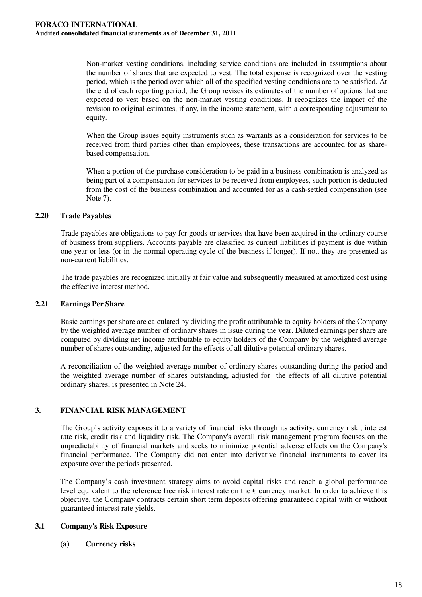Non-market vesting conditions, including service conditions are included in assumptions about the number of shares that are expected to vest. The total expense is recognized over the vesting period, which is the period over which all of the specified vesting conditions are to be satisfied. At the end of each reporting period, the Group revises its estimates of the number of options that are expected to vest based on the non-market vesting conditions. It recognizes the impact of the revision to original estimates, if any, in the income statement, with a corresponding adjustment to equity.

When the Group issues equity instruments such as warrants as a consideration for services to be received from third parties other than employees, these transactions are accounted for as sharebased compensation.

When a portion of the purchase consideration to be paid in a business combination is analyzed as being part of a compensation for services to be received from employees, such portion is deducted from the cost of the business combination and accounted for as a cash-settled compensation (see Note 7).

### **2.20 Trade Payables**

Trade payables are obligations to pay for goods or services that have been acquired in the ordinary course of business from suppliers. Accounts payable are classified as current liabilities if payment is due within one year or less (or in the normal operating cycle of the business if longer). If not, they are presented as non-current liabilities.

The trade payables are recognized initially at fair value and subsequently measured at amortized cost using the effective interest method.

#### **2.21 Earnings Per Share**

Basic earnings per share are calculated by dividing the profit attributable to equity holders of the Company by the weighted average number of ordinary shares in issue during the year. Diluted earnings per share are computed by dividing net income attributable to equity holders of the Company by the weighted average number of shares outstanding, adjusted for the effects of all dilutive potential ordinary shares.

A reconciliation of the weighted average number of ordinary shares outstanding during the period and the weighted average number of shares outstanding, adjusted for the effects of all dilutive potential ordinary shares, is presented in Note 24.

## **3. FINANCIAL RISK MANAGEMENT**

The Group's activity exposes it to a variety of financial risks through its activity: currency risk , interest rate risk, credit risk and liquidity risk. The Company's overall risk management program focuses on the unpredictability of financial markets and seeks to minimize potential adverse effects on the Company's financial performance. The Company did not enter into derivative financial instruments to cover its exposure over the periods presented.

The Company's cash investment strategy aims to avoid capital risks and reach a global performance level equivalent to the reference free risk interest rate on the  $\epsilon$  currency market. In order to achieve this objective, the Company contracts certain short term deposits offering guaranteed capital with or without guaranteed interest rate yields.

## **3.1 Company's Risk Exposure**

**(a) Currency risks**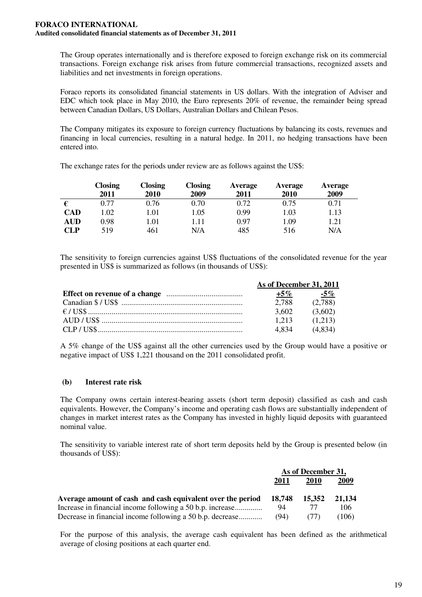The Group operates internationally and is therefore exposed to foreign exchange risk on its commercial transactions. Foreign exchange risk arises from future commercial transactions, recognized assets and liabilities and net investments in foreign operations.

Foraco reports its consolidated financial statements in US dollars. With the integration of Adviser and EDC which took place in May 2010, the Euro represents 20% of revenue, the remainder being spread between Canadian Dollars, US Dollars, Australian Dollars and Chilean Pesos.

The Company mitigates its exposure to foreign currency fluctuations by balancing its costs, revenues and financing in local currencies, resulting in a natural hedge. In 2011, no hedging transactions have been entered into.

|            | <b>Closing</b> | Closing | <b>Closing</b> | Average | Average | Average |
|------------|----------------|---------|----------------|---------|---------|---------|
|            | 2011           | 2010    | 2009           | 2011    | 2010    | 2009    |
|            | 0.77           | 0.76    | 0.70           | 0.72    | 0.75    | 0.71    |
| <b>CAD</b> | .02            | 1.01    | 1.05           | 0.99    | 1.03    | 1.13    |
| AUD        | 0.98           | 1.01    | 1.11           | 0.97    | 1.09    | 1.21    |
| <b>CLP</b> | 519            | 461     | N/A            | 485     | 516     | N/A     |

The exchange rates for the periods under review are as follows against the US\$:

The sensitivity to foreign currencies against US\$ fluctuations of the consolidated revenue for the year presented in US\$ is summarized as follows (in thousands of US\$):

| As of December 31, 2011 |         |
|-------------------------|---------|
| $+5\%$                  | -5%     |
| 2.788                   | (2,788) |
| 3.602                   | (3.602) |
| 1.213                   | (1.213) |
| 4834                    | (4.834) |

A 5% change of the US\$ against all the other currencies used by the Group would have a positive or negative impact of US\$ 1,221 thousand on the 2011 consolidated profit.

## **(b) Interest rate risk**

The Company owns certain interest-bearing assets (short term deposit) classified as cash and cash equivalents. However, the Company's income and operating cash flows are substantially independent of changes in market interest rates as the Company has invested in highly liquid deposits with guaranteed nominal value.

The sensitivity to variable interest rate of short term deposits held by the Group is presented below (in thousands of US\$):

|                                                            |        | As of December 31, |        |
|------------------------------------------------------------|--------|--------------------|--------|
|                                                            | 2011   | 2010               | 2009   |
| Average amount of cash and cash equivalent over the period | 18.748 | 15.352             | 21.134 |
| Increase in financial income following a 50 b.p. increase  | 94     |                    | 106    |
| Decrease in financial income following a 50 b.p. decrease  | (94)   |                    | (106)  |

For the purpose of this analysis, the average cash equivalent has been defined as the arithmetical average of closing positions at each quarter end.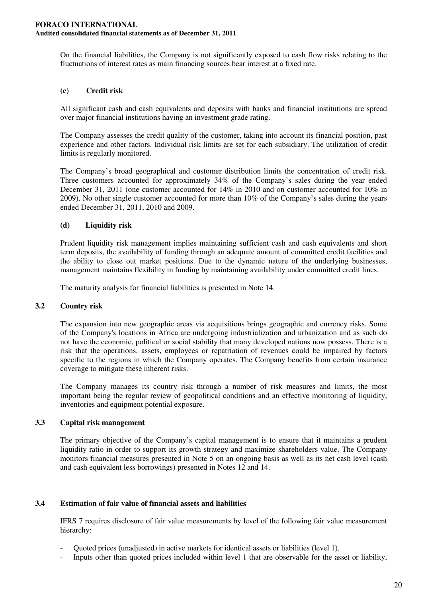On the financial liabilities, the Company is not significantly exposed to cash flow risks relating to the fluctuations of interest rates as main financing sources bear interest at a fixed rate.

## **(c) Credit risk**

All significant cash and cash equivalents and deposits with banks and financial institutions are spread over major financial institutions having an investment grade rating.

The Company assesses the credit quality of the customer, taking into account its financial position, past experience and other factors. Individual risk limits are set for each subsidiary. The utilization of credit limits is regularly monitored.

The Company's broad geographical and customer distribution limits the concentration of credit risk. Three customers accounted for approximately 34% of the Company's sales during the year ended December 31, 2011 (one customer accounted for 14% in 2010 and on customer accounted for 10% in 2009). No other single customer accounted for more than 10% of the Company's sales during the years ended December 31, 2011, 2010 and 2009.

### **(d) Liquidity risk**

Prudent liquidity risk management implies maintaining sufficient cash and cash equivalents and short term deposits, the availability of funding through an adequate amount of committed credit facilities and the ability to close out market positions. Due to the dynamic nature of the underlying businesses, management maintains flexibility in funding by maintaining availability under committed credit lines.

The maturity analysis for financial liabilities is presented in Note 14.

#### **3.2 Country risk**

The expansion into new geographic areas via acquisitions brings geographic and currency risks. Some of the Company's locations in Africa are undergoing industrialization and urbanization and as such do not have the economic, political or social stability that many developed nations now possess. There is a risk that the operations, assets, employees or repatriation of revenues could be impaired by factors specific to the regions in which the Company operates. The Company benefits from certain insurance coverage to mitigate these inherent risks.

The Company manages its country risk through a number of risk measures and limits, the most important being the regular review of geopolitical conditions and an effective monitoring of liquidity, inventories and equipment potential exposure.

#### **3.3 Capital risk management**

The primary objective of the Company's capital management is to ensure that it maintains a prudent liquidity ratio in order to support its growth strategy and maximize shareholders value. The Company monitors financial measures presented in Note 5 on an ongoing basis as well as its net cash level (cash and cash equivalent less borrowings) presented in Notes 12 and 14.

#### **3.4 Estimation of fair value of financial assets and liabilities**

IFRS 7 requires disclosure of fair value measurements by level of the following fair value measurement hierarchy:

- Quoted prices (unadjusted) in active markets for identical assets or liabilities (level 1).
- Inputs other than quoted prices included within level 1 that are observable for the asset or liability,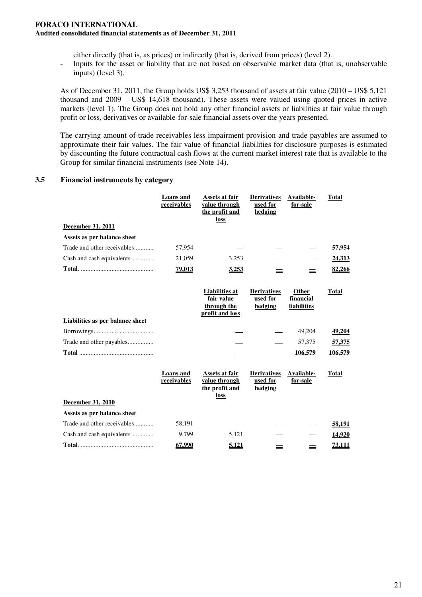either directly (that is, as prices) or indirectly (that is, derived from prices) (level 2).

- Inputs for the asset or liability that are not based on observable market data (that is, unobservable inputs) (level 3).

As of December 31, 2011, the Group holds US\$ 3,253 thousand of assets at fair value (2010 – US\$ 5,121 thousand and 2009 – US\$ 14,618 thousand). These assets were valued using quoted prices in active markets (level 1). The Group does not hold any other financial assets or liabilities at fair value through profit or loss, derivatives or available-for-sale financial assets over the years presented.

The carrying amount of trade receivables less impairment provision and trade payables are assumed to approximate their fair values. The fair value of financial liabilities for disclosure purposes is estimated by discounting the future contractual cash flows at the current market interest rate that is available to the Group for similar financial instruments (see Note 14).

### **3.5 Financial instruments by category**

|                                                            | <b>Loans</b> and<br>receivables | <b>Assets at fair</b><br>value through<br>the profit and<br>loss      | <b>Derivatives</b><br>used for<br>hedging | Available-<br>for-sale            | <b>Total</b>  |
|------------------------------------------------------------|---------------------------------|-----------------------------------------------------------------------|-------------------------------------------|-----------------------------------|---------------|
| December 31, 2011                                          |                                 |                                                                       |                                           |                                   |               |
| Assets as per balance sheet                                |                                 |                                                                       |                                           |                                   |               |
| Trade and other receivables                                | 57,954                          |                                                                       |                                           |                                   | 57,954        |
| Cash and cash equivalents                                  | 21,059                          | 3,253                                                                 |                                           |                                   | <u>24,313</u> |
|                                                            | <u>79,013</u>                   | 3,253                                                                 | =                                         | =                                 | 82,266        |
| Liabilities as per balance sheet                           |                                 | <b>Liabilities</b> at<br>fair value<br>through the<br>profit and loss | <b>Derivatives</b><br>used for<br>hedging | Other<br>financial<br>liabilities | <b>Total</b>  |
|                                                            |                                 |                                                                       |                                           | 49,204                            | 49,204        |
| Trade and other payables                                   |                                 |                                                                       |                                           | 57,375                            | 57,375        |
|                                                            |                                 |                                                                       |                                           | 106,579                           | 106.579       |
| December 31, 2010                                          | Loans and<br>receivables        | Assets at fair<br>value through<br>the profit and<br>loss             | <b>Derivatives</b><br>used for<br>hedging | Available-<br>for-sale            | Total         |
|                                                            |                                 |                                                                       |                                           |                                   |               |
| Assets as per balance sheet<br>Trade and other receivables |                                 |                                                                       |                                           |                                   |               |
|                                                            | 58,191                          |                                                                       |                                           |                                   | 58,191        |
| Cash and cash equivalents                                  | 9,799                           | 5,121                                                                 |                                           |                                   | 14,920        |
|                                                            | 67,990                          | 5.121                                                                 | $=$                                       |                                   | 73.111        |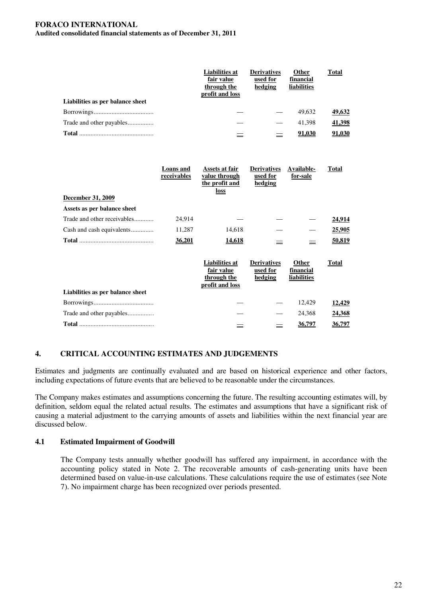## **FORACO INTERNATIONAL**

**Audited consolidated financial statements as of December 31, 2011**

|                                  | <b>Liabilities at</b><br>fair value<br>through the<br>profit and loss | <b>Derivatives</b><br>used for<br>hedging | <b>Other</b><br>financial<br><b>liabilities</b> | <b>Total</b> |
|----------------------------------|-----------------------------------------------------------------------|-------------------------------------------|-------------------------------------------------|--------------|
| Liabilities as per balance sheet |                                                                       |                                           |                                                 |              |
|                                  |                                                                       |                                           | 49.632                                          | 49,632       |
|                                  |                                                                       |                                           | 41.398                                          | 41,398       |
| Total                            |                                                                       |                                           | 91.030                                          | 91.030       |

|                                  | Loans and<br>receivables | Assets at fair<br>value through<br>the profit and<br>loss             | <b>Derivatives</b><br>used for<br>hedging | Available-<br>for-sale            | <b>Total</b>  |
|----------------------------------|--------------------------|-----------------------------------------------------------------------|-------------------------------------------|-----------------------------------|---------------|
| December 31, 2009                |                          |                                                                       |                                           |                                   |               |
| Assets as per balance sheet      |                          |                                                                       |                                           |                                   |               |
| Trade and other receivables      | 24,914                   |                                                                       |                                           |                                   | <u>24,914</u> |
| Cash and cash equivalents        | 11,287                   | 14,618                                                                |                                           |                                   | 25,905        |
|                                  | 36.201                   | 14,618                                                                | $\equiv$                                  | 亖                                 | 50,819        |
|                                  |                          | <b>Liabilities</b> at<br>fair value<br>through the<br>profit and loss | <b>Derivatives</b><br>used for<br>hedging | Other<br>financial<br>liabilities | <b>Total</b>  |
| Liabilities as per balance sheet |                          |                                                                       |                                           |                                   |               |
|                                  |                          |                                                                       |                                           | 12,429                            | 12,429        |
| Trade and other payables         |                          |                                                                       |                                           | 24,368                            | 24,368        |
|                                  |                          |                                                                       |                                           | 36.797                            | 36.797        |

## **4. CRITICAL ACCOUNTING ESTIMATES AND JUDGEMENTS**

Estimates and judgments are continually evaluated and are based on historical experience and other factors, including expectations of future events that are believed to be reasonable under the circumstances.

The Company makes estimates and assumptions concerning the future. The resulting accounting estimates will, by definition, seldom equal the related actual results. The estimates and assumptions that have a significant risk of causing a material adjustment to the carrying amounts of assets and liabilities within the next financial year are discussed below.

#### **4.1 Estimated Impairment of Goodwill**

The Company tests annually whether goodwill has suffered any impairment, in accordance with the accounting policy stated in Note 2. The recoverable amounts of cash-generating units have been determined based on value-in-use calculations. These calculations require the use of estimates (see Note 7). No impairment charge has been recognized over periods presented.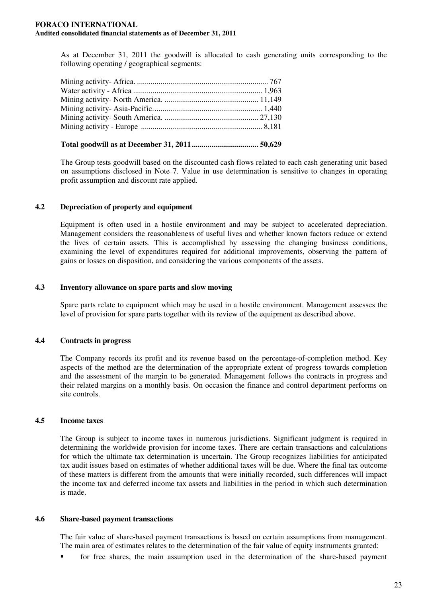As at December 31, 2011 the goodwill is allocated to cash generating units corresponding to the following operating / geographical segments:

### **Total goodwill as at December 31, 2011.................................. 50,629**

The Group tests goodwill based on the discounted cash flows related to each cash generating unit based on assumptions disclosed in Note 7. Value in use determination is sensitive to changes in operating profit assumption and discount rate applied.

## **4.2 Depreciation of property and equipment**

Equipment is often used in a hostile environment and may be subject to accelerated depreciation. Management considers the reasonableness of useful lives and whether known factors reduce or extend the lives of certain assets. This is accomplished by assessing the changing business conditions, examining the level of expenditures required for additional improvements, observing the pattern of gains or losses on disposition, and considering the various components of the assets.

### **4.3 Inventory allowance on spare parts and slow moving**

Spare parts relate to equipment which may be used in a hostile environment. Management assesses the level of provision for spare parts together with its review of the equipment as described above.

## **4.4 Contracts in progress**

The Company records its profit and its revenue based on the percentage-of-completion method. Key aspects of the method are the determination of the appropriate extent of progress towards completion and the assessment of the margin to be generated. Management follows the contracts in progress and their related margins on a monthly basis. On occasion the finance and control department performs on site controls.

## **4.5 Income taxes**

The Group is subject to income taxes in numerous jurisdictions. Significant judgment is required in determining the worldwide provision for income taxes. There are certain transactions and calculations for which the ultimate tax determination is uncertain. The Group recognizes liabilities for anticipated tax audit issues based on estimates of whether additional taxes will be due. Where the final tax outcome of these matters is different from the amounts that were initially recorded, such differences will impact the income tax and deferred income tax assets and liabilities in the period in which such determination is made.

#### **4.6 Share-based payment transactions**

The fair value of share-based payment transactions is based on certain assumptions from management. The main area of estimates relates to the determination of the fair value of equity instruments granted:

for free shares, the main assumption used in the determination of the share-based payment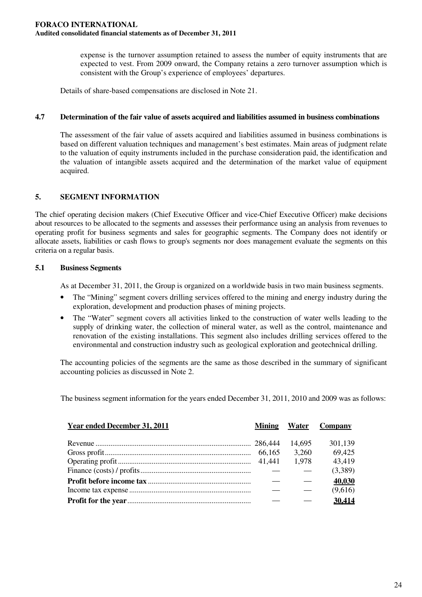expense is the turnover assumption retained to assess the number of equity instruments that are expected to vest. From 2009 onward, the Company retains a zero turnover assumption which is consistent with the Group's experience of employees' departures.

Details of share-based compensations are disclosed in Note 21.

### **4.7 Determination of the fair value of assets acquired and liabilities assumed in business combinations**

The assessment of the fair value of assets acquired and liabilities assumed in business combinations is based on different valuation techniques and management's best estimates. Main areas of judgment relate to the valuation of equity instruments included in the purchase consideration paid, the identification and the valuation of intangible assets acquired and the determination of the market value of equipment acquired.

## **5. SEGMENT INFORMATION**

The chief operating decision makers (Chief Executive Officer and vice-Chief Executive Officer) make decisions about resources to be allocated to the segments and assesses their performance using an analysis from revenues to operating profit for business segments and sales for geographic segments. The Company does not identify or allocate assets, liabilities or cash flows to group's segments nor does management evaluate the segments on this criteria on a regular basis.

### **5.1 Business Segments**

As at December 31, 2011, the Group is organized on a worldwide basis in two main business segments.

- The "Mining" segment covers drilling services offered to the mining and energy industry during the exploration, development and production phases of mining projects.
- The "Water" segment covers all activities linked to the construction of water wells leading to the supply of drinking water, the collection of mineral water, as well as the control, maintenance and renovation of the existing installations. This segment also includes drilling services offered to the environmental and construction industry such as geological exploration and geotechnical drilling.

The accounting policies of the segments are the same as those described in the summary of significant accounting policies as discussed in Note 2.

The business segment information for the years ended December 31, 2011, 2010 and 2009 was as follows:

| Year ended December 31, 2011 | <b>Mining</b> | <b>Water</b> | Company |
|------------------------------|---------------|--------------|---------|
|                              |               |              |         |
|                              |               | 14,695       | 301,139 |
|                              |               | 3,260        | 69,425  |
|                              |               | 1.978        | 43,419  |
|                              |               |              | (3,389) |
|                              |               |              | 40,030  |
|                              |               |              | (9,616) |
|                              |               |              | 30,414  |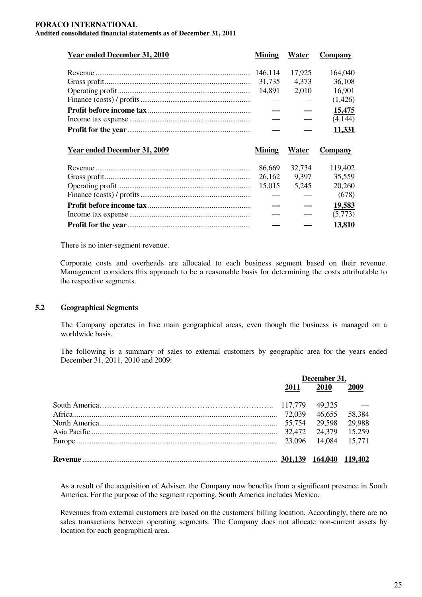| <b>Year ended December 31, 2010</b> | <b>Mining</b> | Water  | <b>Company</b> |
|-------------------------------------|---------------|--------|----------------|
|                                     |               | 17,925 | 164,040        |
|                                     | 31,735        | 4,373  | 36,108         |
|                                     | 14,891        | 2,010  | 16,901         |
|                                     |               |        | (1,426)        |
|                                     |               |        | 15,475         |
|                                     |               |        | (4,144)        |
|                                     |               |        | 11,331         |
|                                     |               |        |                |
| <b>Year ended December 31, 2009</b> | <b>Mining</b> | Water  | <b>Company</b> |
|                                     | 86,669        | 32,734 | 119,402        |
|                                     | 26,162        | 9,397  | 35,559         |
|                                     | 15,015        | 5,245  | 20,260         |
|                                     |               |        | (678)          |
|                                     |               |        | 19,583         |
|                                     |               |        | (5,773)        |

There is no inter-segment revenue.

Corporate costs and overheads are allocated to each business segment based on their revenue. Management considers this approach to be a reasonable basis for determining the costs attributable to the respective segments.

#### **5.2 Geographical Segments**

The Company operates in five main geographical areas, even though the business is managed on a worldwide basis.

The following is a summary of sales to external customers by geographic area for the years ended December 31, 2011, 2010 and 2009:

| December 31, |             |                |
|--------------|-------------|----------------|
| 2011         | <b>2010</b> | 2009           |
|              | 49,325      | $\sim$ 100 $-$ |
|              |             |                |
|              |             | 29,598 29,988  |
|              | 24,379      | 15,259         |
|              |             |                |
|              |             | <u>119,402</u> |

As a result of the acquisition of Adviser, the Company now benefits from a significant presence in South America. For the purpose of the segment reporting, South America includes Mexico.

Revenues from external customers are based on the customers'billing location. Accordingly, there are no sales transactions between operating segments. The Company does not allocate non-current assets by location for each geographical area.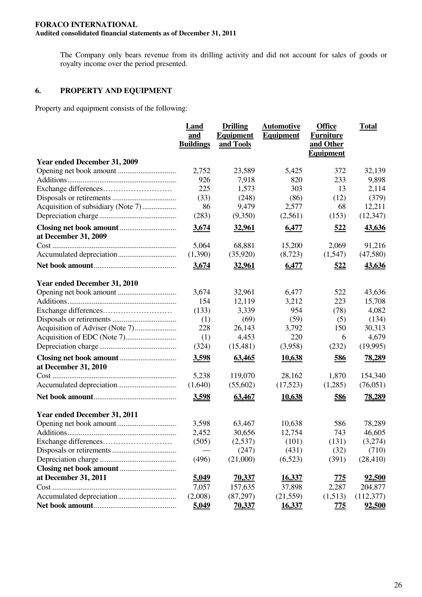The Company only bears revenue from its drilling activity and did not account for sales of goods or royalty income over the period presented.

## **6. PROPERTY AND EQUIPMENT**

Property and equipment consists of the following:

|                              | Land<br>and<br><b>Buildings</b> | <b>Drilling</b><br><b>Equipment</b><br>and Tools | <b>Automotive</b><br><b>Equipment</b> | <b>Office</b><br><b>Furniture</b><br>and Other | <b>Total</b> |
|------------------------------|---------------------------------|--------------------------------------------------|---------------------------------------|------------------------------------------------|--------------|
| Year ended December 31, 2009 |                                 |                                                  |                                       | <b>Equipment</b>                               |              |
|                              | 2,752                           | 23,589                                           | 5,425                                 | 372                                            | 32,139       |
|                              | 926                             | 7,918                                            | 820                                   | 233                                            | 9,898        |
|                              | 225                             | 1,573                                            | 303                                   | 13                                             | 2,114        |
|                              | (33)                            | (248)                                            | (86)                                  | (12)                                           | (379)        |
|                              | 86                              | 9,479                                            | 2,577                                 | 68                                             | 12,211       |
|                              | (283)                           | (9,350)                                          | (2,561)                               | (153)                                          | (12, 347)    |
|                              | 3,674                           | <u>32,961</u>                                    | 6,477                                 | <u>522</u>                                     | 43,636       |
| at December 31, 2009         | 5,064                           | 68,881                                           | 15,200                                | 2,069                                          | 91,216       |
|                              | (1,390)                         | (35,920)                                         | (8,723)                               | (1,547)                                        | (47,580)     |
|                              |                                 |                                                  |                                       |                                                |              |
|                              | 3,674                           | 32,961                                           | 6,477                                 | 522                                            | 43,636       |
| Year ended December 31, 2010 |                                 |                                                  |                                       |                                                |              |
|                              | 3,674                           | 32,961                                           | 6,477                                 | 522                                            | 43,636       |
|                              | 154                             | 12,119                                           | 3,212                                 | 223                                            | 15,708       |
|                              | (133)                           | 3,339                                            | 954                                   | (78)                                           | 4,082        |
|                              | (1)                             | (69)                                             | (59)                                  | (5)                                            | (134)        |
|                              | 228                             | 26,143                                           | 3,792                                 | 150                                            | 30,313       |
|                              | (1)                             | 4,453                                            | 220                                   | 6                                              | 4,679        |
|                              | (324)                           | (15, 481)                                        | (3,958)                               | (232)                                          | (19,995)     |
| at December 31, 2010         | 3,598                           | 63,465                                           | <u>10,638</u>                         | 586                                            | 78,289       |
|                              | 5,238                           | 119,070                                          | 28,162                                | 1,870                                          | 154,340      |
|                              | (1,640)                         | (55,602)                                         | (17,523)                              | (1,285)                                        | (76,051)     |
|                              | 3,598                           | 63,467                                           | <u>10,638</u>                         | <u>586</u>                                     | 78,289       |
| Year ended December 31, 2011 |                                 |                                                  |                                       |                                                |              |
|                              | 3,598                           | 63,467                                           | 10,638                                | 586                                            | 78,289       |
|                              | 2,452                           | 30,656                                           | 12,754                                | 743                                            | 46,605       |
|                              | (505)                           | (2,537)                                          | (101)                                 | (131)                                          | (3,274)      |
|                              |                                 | (247)                                            | (431)                                 | (32)                                           | (710)        |
|                              | (496)                           | (21,000)                                         | (6,523)                               | (391)                                          | (28, 410)    |
|                              |                                 |                                                  |                                       |                                                |              |
| at December 31, 2011         | 5,049                           | <u>70,337</u>                                    | <u>16,337</u>                         | <u>775</u>                                     | 92,500       |
|                              | 7,057                           | 157,635                                          | 37,898                                | 2,287                                          | 204,877      |
|                              | (2,008)                         | (87,297)                                         | (21, 559)                             | (1,513)                                        | (112,377)    |
|                              | 5,049                           | <u>70,337</u>                                    | 16,337                                | <u>775</u>                                     | 92,500       |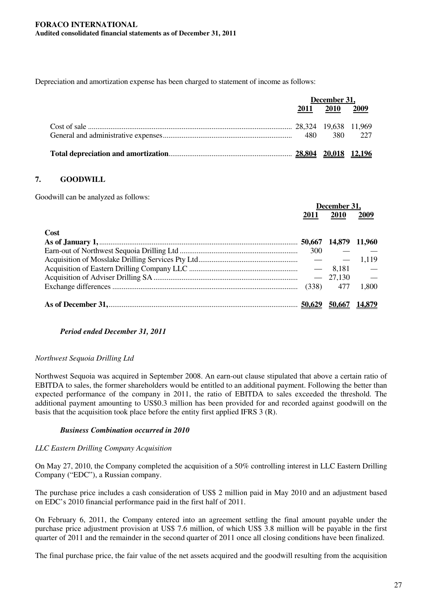Depreciation and amortization expense has been charged to statement of income as follows:

| December 31, |                |  |
|--------------|----------------|--|
|              | 2011 2010 2009 |  |
|              |                |  |
|              |                |  |
|              |                |  |

## **7. GOODWILL**

Goodwill can be analyzed as follows:

|      | December 31, |             |        |
|------|--------------|-------------|--------|
|      | 2011         | 2010        | 2009   |
| Cost |              |             |        |
|      |              |             |        |
|      | 300          |             |        |
|      |              |             |        |
|      |              |             |        |
|      |              |             |        |
|      |              | $(338)$ 477 | 1,800  |
|      |              | 50.667      | 14,879 |

## *Period ended December 31, 2011*

#### *Northwest Sequoia Drilling Ltd*

Northwest Sequoia was acquired in September 2008. An earn-out clause stipulated that above a certain ratio of EBITDA to sales, the former shareholders would be entitled to an additional payment. Following the better than expected performance of the company in 2011, the ratio of EBITDA to sales exceeded the threshold. The additional payment amounting to US\$0.3 million has been provided for and recorded against goodwill on the basis that the acquisition took place before the entity first applied IFRS 3 (R).

## *Business Combination occurred in 2010*

#### *LLC Eastern Drilling Company Acquisition*

On May 27, 2010, the Company completed the acquisition of a 50% controlling interest in LLC Eastern Drilling Company ("EDC"), a Russian company.

The purchase price includes a cash consideration of US\$ 2 million paid in May 2010 and an adjustment based on EDC's 2010 financial performance paid in the first half of 2011.

On February 6, 2011, the Company entered into an agreement settling the final amount payable under the purchase price adjustment provision at US\$ 7.6 million, of which US\$ 3.8 million will be payable in the first quarter of 2011 and the remainder in the second quarter of 2011 once all closing conditions have been finalized.

The final purchase price, the fair value of the net assets acquired and the goodwill resulting from the acquisition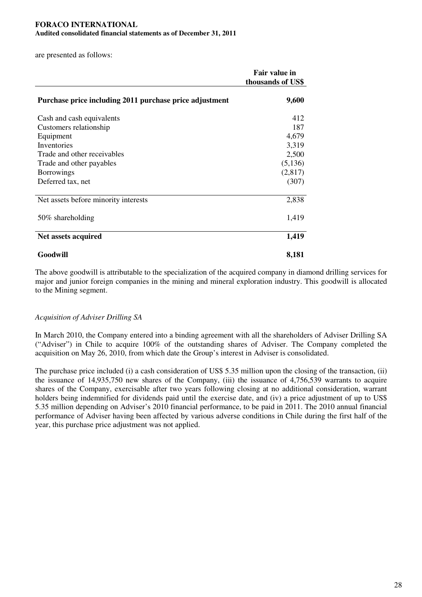## **FORACO INTERNATIONAL**

**Audited consolidated financial statements as of December 31, 2011**

are presented as follows:

|                                                         | Fair value in<br>thousands of US\$ |
|---------------------------------------------------------|------------------------------------|
| Purchase price including 2011 purchase price adjustment | 9,600                              |
| Cash and cash equivalents                               | 412                                |
| Customers relationship                                  | 187                                |
| Equipment                                               | 4,679                              |
| Inventories                                             | 3,319                              |
| Trade and other receivables                             | 2,500                              |
| Trade and other payables                                | (5,136)                            |
| <b>Borrowings</b>                                       | (2,817)                            |
| Deferred tax, net                                       | (307)                              |
| Net assets before minority interests                    | 2,838                              |
| 50% shareholding                                        | 1,419                              |
| Net assets acquired                                     | 1,419                              |
| Goodwill                                                | 8,181                              |

The above goodwill is attributable to the specialization of the acquired company in diamond drilling services for major and junior foreign companies in the mining and mineral exploration industry. This goodwill is allocated to the Mining segment.

#### *Acquisition of Adviser Drilling SA*

In March 2010, the Company entered into a binding agreement with all the shareholders of Adviser Drilling SA ("Adviser") in Chile to acquire 100% of the outstanding shares of Adviser. The Company completed the acquisition on May 26, 2010, from which date the Group's interest in Adviser is consolidated.

The purchase price included (i) a cash consideration of US\$ 5.35 million upon the closing of the transaction, (ii) the issuance of 14,935,750 new shares of the Company, (iii) the issuance of 4,756,539 warrants to acquire shares of the Company, exercisable after two years following closing at no additional consideration, warrant holders being indemnified for dividends paid until the exercise date, and (iv) a price adjustment of up to US\$ 5.35 million depending on Adviser's 2010 financial performance, to be paid in 2011. The 2010 annual financial performance of Adviser having been affected by various adverse conditions in Chile during the first half of the year, this purchase price adjustment was not applied.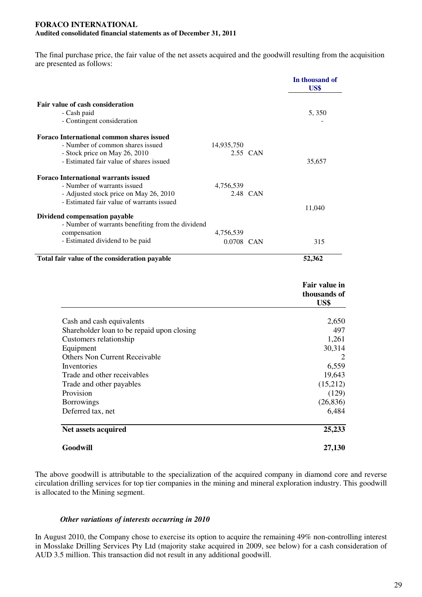The final purchase price, the fair value of the net assets acquired and the goodwill resulting from the acquisition are presented as follows:

|                                                   |            |          | In thousand of<br>US\$                |
|---------------------------------------------------|------------|----------|---------------------------------------|
| Fair value of cash consideration                  |            |          |                                       |
| - Cash paid                                       |            |          | 5,350                                 |
| - Contingent consideration                        |            |          |                                       |
| <b>Foraco International common shares issued</b>  |            |          |                                       |
| - Number of common shares issued                  | 14,935,750 |          |                                       |
| - Stock price on May 26, 2010                     |            | 2.55 CAN |                                       |
| - Estimated fair value of shares issued           |            |          | 35,657                                |
| <b>Foraco International warrants issued</b>       |            |          |                                       |
| - Number of warrants issued                       | 4,756,539  |          |                                       |
| - Adjusted stock price on May 26, 2010            |            | 2.48 CAN |                                       |
| - Estimated fair value of warrants issued         |            |          | 11,040                                |
| Dividend compensation payable                     |            |          |                                       |
| - Number of warrants benefiting from the dividend |            |          |                                       |
| compensation                                      | 4,756,539  |          |                                       |
| - Estimated dividend to be paid                   | 0.0708 CAN |          | 315                                   |
| Total fair value of the consideration payable     |            |          | 52,362                                |
|                                                   |            |          | Fair value in<br>thousands of<br>US\$ |
| Cash and cash equivalents                         |            |          | 2,650                                 |
| Shareholder loan to be repaid upon closing        |            |          | 497                                   |
| Customers relationship                            |            |          | 1,261                                 |
| Equipment                                         |            |          | 30,314                                |
| <b>Others Non Current Receivable</b>              |            |          | 2                                     |
| Inventories                                       |            |          | 6,559                                 |
| Trade and other receivables                       |            |          | 19,643                                |
| Trade and other payables                          |            |          | (15,212)                              |
| Provision                                         |            |          | (129)                                 |
| <b>Borrowings</b>                                 |            |          | (26, 836)                             |
| Deferred tax, net                                 |            |          | 6,484                                 |
| Net assets acquired                               |            |          | 25,233                                |
| Goodwill                                          |            |          | 27,130                                |

The above goodwill is attributable to the specialization of the acquired company in diamond core and reverse circulation drilling services for top tier companies in the mining and mineral exploration industry. This goodwill is allocated to the Mining segment.

## *Other variations of interests occurring in 2010*

In August 2010, the Company chose to exercise its option to acquire the remaining 49% non-controlling interest in Mosslake Drilling Services Pty Ltd (majority stake acquired in 2009, see below) for a cash consideration of AUD 3.5 million. This transaction did not result in any additional goodwill.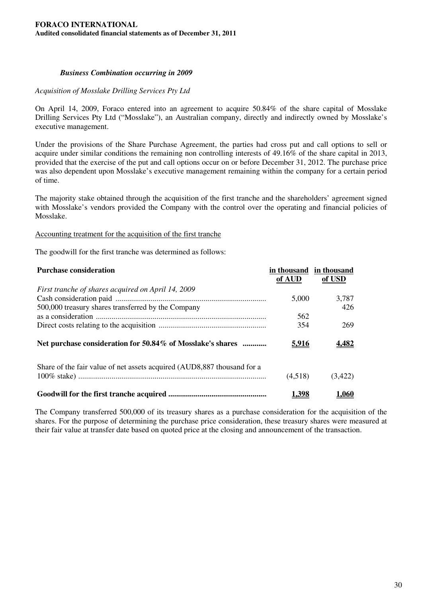#### *Business Combination occurring in 2009*

#### *Acquisition of Mosslake Drilling Services Pty Ltd*

On April 14, 2009, Foraco entered into an agreement to acquire 50.84% of the share capital of Mosslake Drilling Services Pty Ltd ("Mosslake"), an Australian company, directly and indirectly owned by Mosslake's executive management.

Under the provisions of the Share Purchase Agreement, the parties had cross put and call options to sell or acquire under similar conditions the remaining non controlling interests of 49.16% of the share capital in 2013, provided that the exercise of the put and call options occur on or before December 31, 2012. The purchase price was also dependent upon Mosslake's executive management remaining within the company for a certain period of time.

The majority stake obtained through the acquisition of the first tranche and the shareholders' agreement signed with Mosslake's vendors provided the Company with the control over the operating and financial policies of Mosslake.

#### Accounting treatment for the acquisition of the first tranche

The goodwill for the first tranche was determined as follows:

| <b>Purchase consideration</b>                                           | in thousand in thousand |         |
|-------------------------------------------------------------------------|-------------------------|---------|
|                                                                         | of AUD                  | of USD  |
| First tranche of shares acquired on April 14, 2009                      |                         |         |
|                                                                         | 5,000                   | 3,787   |
| 500,000 treasury shares transferred by the Company                      |                         | 426     |
|                                                                         | 562                     |         |
|                                                                         | 354                     | 269     |
| Net purchase consideration for 50.84% of Mosslake's shares              | <u>5.916</u>            | 4.482   |
| Share of the fair value of net assets acquired (AUD8,887 thousand for a |                         |         |
|                                                                         | (4,518)                 | (3,422) |
|                                                                         | 1,398                   | 1.060   |

The Company transferred 500,000 of its treasury shares as a purchase consideration for the acquisition of the shares. For the purpose of determining the purchase price consideration, these treasury shares were measured at their fair value at transfer date based on quoted price at the closing and announcement of the transaction.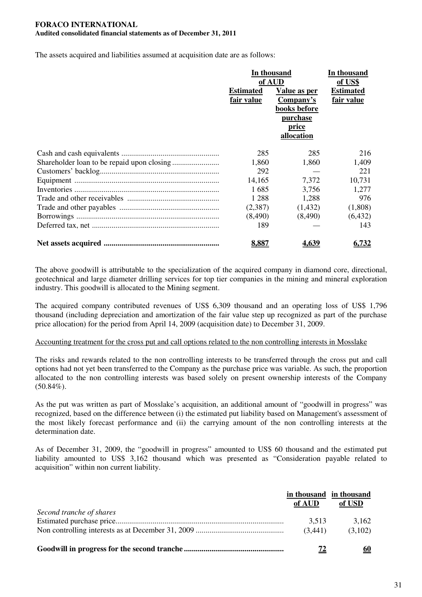The assets acquired and liabilities assumed at acquisition date are as follows:

| In thousand      |              | In thousand      |
|------------------|--------------|------------------|
| of AUD           |              | of US\$          |
| <b>Estimated</b> | Value as per | <b>Estimated</b> |
| fair value       | Company's    | fair value       |
|                  | books before |                  |
|                  | purchase     |                  |
|                  | price        |                  |
|                  | allocation   |                  |
| 285              | 285          | 216              |
| 1,860            | 1,860        | 1,409            |
| 292              |              | 221              |
| 14,165           | 7,372        | 10,731           |
| 1685             | 3,756        | 1,277            |
| 1 2 8 8          | 1,288        | 976              |
| (2,387)          | (1,432)      | (1,808)          |
| (8, 490)         | (8,490)      | (6, 432)         |
| 189              |              | 143              |
| 8.887            | <u>4.639</u> | <u>6.732</u>     |

The above goodwill is attributable to the specialization of the acquired company in diamond core, directional, geotechnical and large diameter drilling services for top tier companies in the mining and mineral exploration industry. This goodwill is allocated to the Mining segment.

The acquired company contributed revenues of US\$ 6,309 thousand and an operating loss of US\$ 1,796 thousand (including depreciation and amortization of the fair value step up recognized as part of the purchase price allocation) for the period from April 14, 2009 (acquisition date) to December 31, 2009.

#### Accounting treatment for the cross put and call options related to the non controlling interests in Mosslake

The risks and rewards related to the non controlling interests to be transferred through the cross put and call options had not yet been transferred to the Company as the purchase price was variable. As such, the proportion allocated to the non controlling interests was based solely on present ownership interests of the Company  $(50.84\%)$ .

As the put was written as part of Mosslake's acquisition, an additional amount of "goodwill in progress" was recognized, based on the difference between (i) the estimated put liability based on Management's assessment of the most likely forecast performance and (ii) the carrying amount of the non controlling interests at the determination date.

As of December 31, 2009, the "goodwill in progress" amounted to US\$ 60 thousand and the estimated put liability amounted to US\$ 3,162 thousand which was presented as "Consideration payable related to acquisition" within non current liability.

|                          | of AUD  | in thousand in thousand<br>of USD |
|--------------------------|---------|-----------------------------------|
| Second tranche of shares |         |                                   |
|                          | 3,513   | 3.162                             |
|                          | (3,441) | (3,102)                           |
|                          |         | <u>60</u>                         |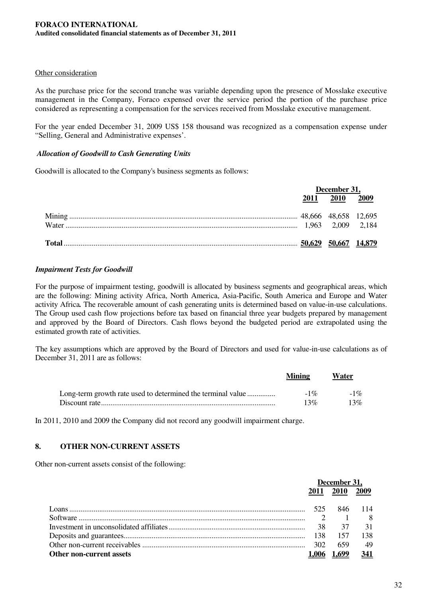### Other consideration

As the purchase price for the second tranche was variable depending upon the presence of Mosslake executive management in the Company, Foraco expensed over the service period the portion of the purchase price considered as representing a compensation for the services received from Mosslake executive management.

For the year ended December 31, 2009 US\$ 158 thousand was recognized as a compensation expense under "Selling, General and Administrative expenses'.

### *Allocation of Goodwill to Cash Generating Units*

Goodwill is allocated to the Company's business segments as follows:

| December 31, |                |  |
|--------------|----------------|--|
|              | 2011 2010 2009 |  |
|              |                |  |
|              |                |  |
|              |                |  |
|              |                |  |

### *Impairment Tests for Goodwill*

For the purpose of impairment testing, goodwill is allocated by business segments and geographical areas, which are the following: Mining activity Africa, North America, Asia-Pacific, South America and Europe and Water activity Africa*.* The recoverable amount of cash generating units is determined based on value-in-use calculations. The Group used cash flow projections before tax based on financial three year budgets prepared by management and approved by the Board of Directors. Cash flows beyond the budgeted period are extrapolated using the estimated growth rate of activities.

The key assumptions which are approved by the Board of Directors and used for value-in-use calculations as of December 31, 2011 are as follows:

|                                                             | <b>Mining</b> | Water  |
|-------------------------------------------------------------|---------------|--------|
| Long-term growth rate used to determined the terminal value | $-1\%$        | $-1\%$ |
|                                                             | 13%           | 13%    |

In 2011, 2010 and 2009 the Company did not record any goodwill impairment charge.

## **8. OTHER NON-CURRENT ASSETS**

Other non-current assets consist of the following:

|                                 | December 31, |             |      |
|---------------------------------|--------------|-------------|------|
|                                 | 2011         | <b>2010</b> | 2009 |
|                                 |              |             |      |
|                                 |              | 846         | 114  |
|                                 |              |             | -8   |
|                                 |              |             |      |
|                                 |              | 157         | 138  |
|                                 | 302          | 659         | - 49 |
| <b>Other non-current assets</b> |              |             | 341  |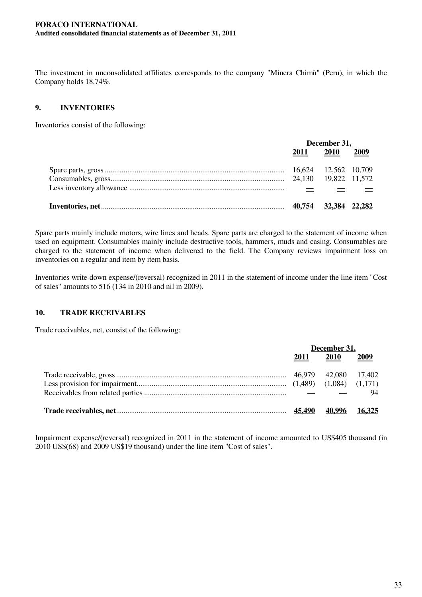The investment in unconsolidated affiliates corresponds to the company "Minera Chimù" (Peru), in which the Company holds 18.74%.

## **9. INVENTORIES**

Inventories consist of the following:

| December 31, |                |  |
|--------------|----------------|--|
|              | 2011 2010 2009 |  |
|              |                |  |
|              |                |  |
|              |                |  |
| 40,754       | 32.384 22.282  |  |

Spare parts mainly include motors, wire lines and heads. Spare parts are charged to the statement of income when used on equipment. Consumables mainly include destructive tools, hammers, muds and casing. Consumables are charged to the statement of income when delivered to the field. The Company reviews impairment loss on inventories on a regular and item by item basis.

Inventories write-down expense/(reversal) recognized in 2011 in the statement of income under the line item "Cost of sales" amounts to 516 (134 in 2010 and nil in 2009).

## **10. TRADE RECEIVABLES**

Trade receivables, net, consist of the following:

| December 31,  |               |      |
|---------------|---------------|------|
| 2011          | <b>2010</b>   | 2009 |
|               |               |      |
|               |               |      |
|               |               | 94   |
| <u>45.490</u> | 40,996 16,325 |      |

Impairment expense/(reversal) recognized in 2011 in the statement of income amounted to US\$405 thousand (in 2010 US\$(68) and 2009 US\$19 thousand) under the line item "Cost of sales".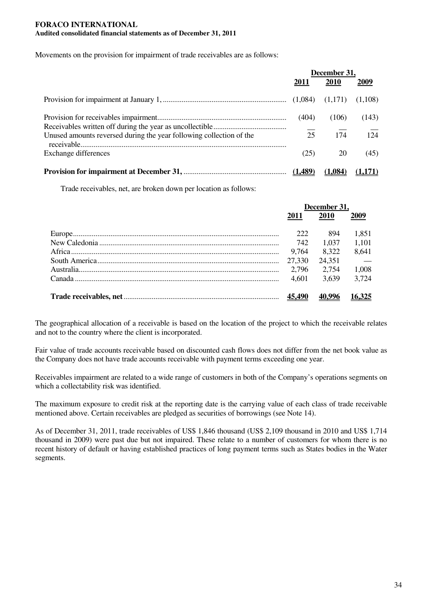Movements on the provision for impairment of trade receivables are as follows:

|                                                                     | December 31, |         |                  |
|---------------------------------------------------------------------|--------------|---------|------------------|
|                                                                     | 2011         | 2010    | 2009             |
|                                                                     |              |         |                  |
|                                                                     | (404)        | (106)   | (143)            |
| Unused amounts reversed during the year following collection of the | 25           | 174     | $\overline{124}$ |
| Exchange differences                                                | (25)         | 20      | (45)             |
|                                                                     |              | (1.084) |                  |

Trade receivables, net, are broken down per location as follows:

| December 31, |        |               |
|--------------|--------|---------------|
| 2011         | 2010   | 2009          |
| 222          | 894    | 1,851         |
| 742          | 1.037  | 1,101         |
| 9.764        | 8.322  | 8,641         |
| 27,330       | 24,351 | $\sim$ $-$    |
| 2.796        | 2.754  | 1,008         |
| 4.601        | 3.639  | 3.724         |
| 45,490       |        | <u>16,325</u> |

The geographical allocation of a receivable is based on the location of the project to which the receivable relates and not to the country where the client is incorporated.

Fair value of trade accounts receivable based on discounted cash flows does not differ from the net book value as the Company does not have trade accounts receivable with payment terms exceeding one year.

Receivables impairment are related to a wide range of customers in both of the Company's operations segments on which a collectability risk was identified.

The maximum exposure to credit risk at the reporting date is the carrying value of each class of trade receivable mentioned above. Certain receivables are pledged as securities of borrowings (see Note 14).

As of December 31, 2011, trade receivables of US\$ 1,846 thousand (US\$ 2,109 thousand in 2010 and US\$ 1,714 thousand in 2009) were past due but not impaired. These relate to a number of customers for whom there is no recent history of default or having established practices of long payment terms such as States bodies in the Water segments.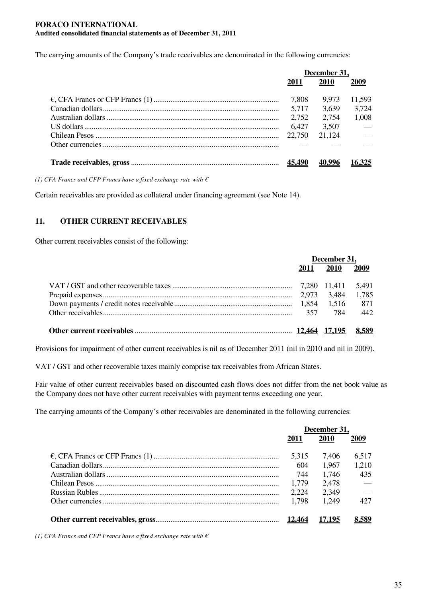The carrying amounts of the Company's trade receivables are denominated in the following currencies:

| December 31,  |        |                          |
|---------------|--------|--------------------------|
| 2011          | 2010   | 2009                     |
| 7,808         | 9.973  | 11,593                   |
| 5,717         | 3,639  | 3,724                    |
| 2,752         | 2.754  | 1,008                    |
| 6,427         | 3,507  | $\overline{\phantom{a}}$ |
| 22,750        | 21,124 | $\frac{1}{1}$            |
|               |        |                          |
| <u>45,490</u> |        |                          |

*(1) CFA Francs and CFP Francs have a fixed exchange rate with €*

Certain receivables are provided as collateral under financing agreement (see Note 14).

## **11. OTHER CURRENT RECEIVABLES**

Other current receivables consist of the following:

| December 31, |             |       |
|--------------|-------------|-------|
| 2011         | <b>2010</b> | 2009  |
|              |             |       |
|              |             |       |
|              |             |       |
|              | 357 784 442 |       |
|              |             | 8,589 |

Provisions for impairment of other current receivables is nil as of December 2011 (nil in 2010 and nil in 2009).

VAT / GST and other recoverable taxes mainly comprise tax receivables from African States.

Fair value of other current receivables based on discounted cash flows does not differ from the net book value as the Company does not have other current receivables with payment terms exceeding one year.

The carrying amounts of the Company's other receivables are denominated in the following currencies:

| December 31. |         |               |
|--------------|---------|---------------|
| 2011         | 2010    | 2009          |
| 5.315        | 7.406   | 6.517         |
| 604          | 1,967   | 1.210         |
| 744          | 1.746   | 435           |
| 1,779        | 2,478   |               |
| 2.224        | 2,349   | $\frac{1}{1}$ |
| 1.798        | 1 2 4 9 | 427           |
|              | 17.195  | 8.589         |

*(1) CFA Francs and CFP Francs have a fixed exchange rate with €*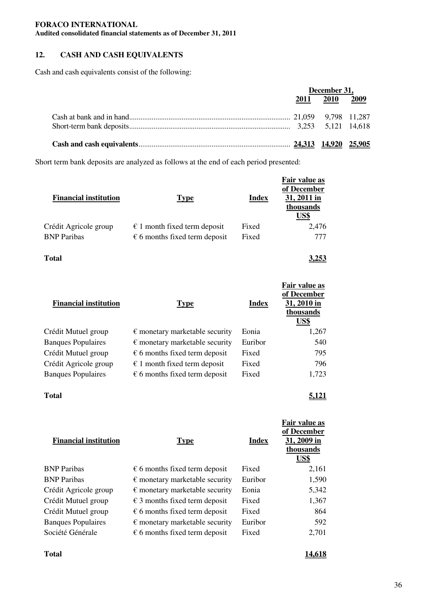## **12. CASH AND CASH EQUIVALENTS**

Cash and cash equivalents consist of the following:

| December 31, |                |  |
|--------------|----------------|--|
|              | 2011 2010 2009 |  |
|              |                |  |
|              |                |  |
|              |                |  |

Short term bank deposits are analyzed as follows at the end of each period presented:

| <b>Financial institution</b> | <b>Type</b>                            | Index | Fair value as<br>of December<br>31, 2011 in<br>thousands<br>US\$ |
|------------------------------|----------------------------------------|-------|------------------------------------------------------------------|
| Crédit Agricole group        | $\epsilon$ 1 month fixed term deposit  | Fixed | 2.476                                                            |
| <b>BNP</b> Paribas           | $\epsilon$ 6 months fixed term deposit | Fixed | 777                                                              |

**Total 3,253**

| <b>Financial institution</b> | <b>Type</b>                             | Index   | Fair value as<br>of December<br>31, 2010 in<br>thousands<br>US\$ |
|------------------------------|-----------------------------------------|---------|------------------------------------------------------------------|
| Crédit Mutuel group          | $\epsilon$ monetary marketable security | Eonia   | 1,267                                                            |
| <b>Banques Populaires</b>    | $\epsilon$ monetary marketable security | Euribor | 540                                                              |
| Crédit Mutuel group          | $\epsilon$ 6 months fixed term deposit  | Fixed   | 795                                                              |
| Crédit Agricole group        | $\epsilon$ 1 month fixed term deposit   | Fixed   | 796                                                              |
| <b>Banques Populaires</b>    | $\epsilon$ 6 months fixed term deposit  | Fixed   | 1,723                                                            |

**Total 5,121**

| <b>Financial institution</b> | <b>Type</b>                             | Index   | of December<br>31, 2009 in<br>thousands<br>US\$ |
|------------------------------|-----------------------------------------|---------|-------------------------------------------------|
| <b>BNP Paribas</b>           | $\epsilon$ 6 months fixed term deposit  | Fixed   | 2,161                                           |
| <b>BNP Paribas</b>           | $\epsilon$ monetary marketable security | Euribor | 1,590                                           |
| Crédit Agricole group        | $\epsilon$ monetary marketable security | Eonia   | 5,342                                           |
| Crédit Mutuel group          | $\epsilon$ 3 months fixed term deposit  | Fixed   | 1,367                                           |
| Crédit Mutuel group          | $\epsilon$ 6 months fixed term deposit  | Fixed   | 864                                             |
| <b>Banques Populaires</b>    | $\epsilon$ monetary marketable security | Euribor | 592                                             |
| Société Générale             | $\epsilon$ 6 months fixed term deposit  | Fixed   | 2,701                                           |
|                              |                                         |         |                                                 |

**Fair value as**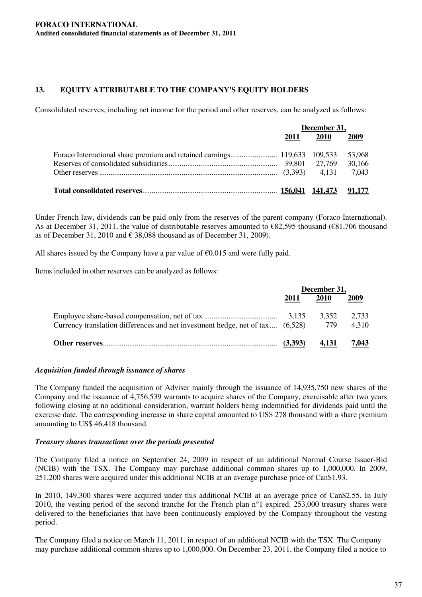## **13. EQUITY ATTRIBUTABLE TO THE COMPANY'S EQUITY HOLDERS**

Consolidated reserves, including net income for the period and other reserves, can be analyzed as follows:

| December 31, |      |      |
|--------------|------|------|
| 2011         | 2010 | 2009 |
|              |      |      |
|              |      |      |
|              |      |      |
|              |      |      |

Under French law, dividends can be paid only from the reserves of the parent company (Foraco International). As at December 31, 2011, the value of distributable reserves amounted to €82,595 thousand (€81,706 thousand as of December 31, 2010 and  $\epsilon$  38,088 thousand as of December 31, 2009).

All shares issued by the Company have a par value of  $\epsilon$ 0.015 and were fully paid.

Items included in other reserves can be analyzed as follows:

|                                                                               | December 31, |              |                |
|-------------------------------------------------------------------------------|--------------|--------------|----------------|
|                                                                               | 2011         | 2010         | 2009           |
| Currency translation differences and net investment hedge, net of tax (6,528) |              | 3.352<br>779 | 2.733<br>4.310 |
|                                                                               | (3.393)      | 4.131        | 7.043          |

#### *Acquisition funded through issuance of shares*

The Company funded the acquisition of Adviser mainly through the issuance of 14,935,750 new shares of the Company and the issuance of 4,756,539 warrants to acquire shares of the Company, exercisable after two years following closing at no additional consideration, warrant holders being indemnified for dividends paid until the exercise date. The corresponding increase in share capital amounted to US\$ 278 thousand with a share premium amounting to US\$ 46,418 thousand.

## *Treasury shares transactions over the periods presented*

The Company filed a notice on September 24, 2009 in respect of an additional Normal Course Issuer-Bid (NCIB) with the TSX. The Company may purchase additional common shares up to 1,000,000. In 2009, 251,200 shares were acquired under this additional NCIB at an average purchase price of Can\$1.93.

In 2010, 149,300 shares were acquired under this additional NCIB at an average price of Can\$2.55. In July 2010, the vesting period of the second tranche for the French plan n°1 expired. 253,000 treasury shares were delivered to the beneficiaries that have been continuously employed by the Company throughout the vesting period.

The Company filed a notice on March 11, 2011, in respect of an additional NCIB with the TSX. The Company may purchase additional common shares up to 1,000,000. On December 23, 2011, the Company filed a notice to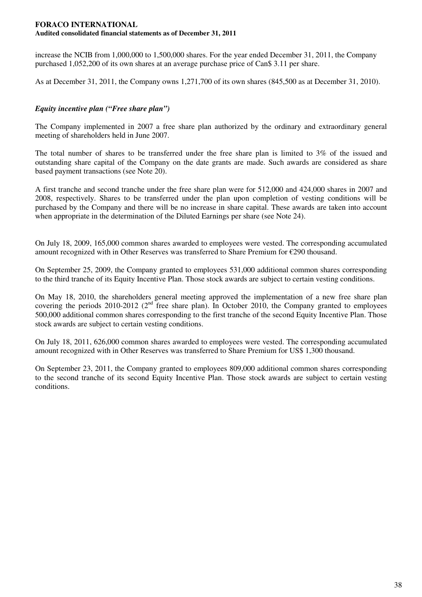increase the NCIB from 1,000,000 to 1,500,000 shares. For the year ended December 31, 2011, the Company purchased 1,052,200 of its own shares at an average purchase price of Can\$ 3.11 per share.

As at December 31, 2011, the Company owns 1,271,700 of its own shares (845,500 as at December 31, 2010).

## *Equity incentive plan ("Free share plan")*

The Company implemented in 2007 a free share plan authorized by the ordinary and extraordinary general meeting of shareholders held in June 2007.

The total number of shares to be transferred under the free share plan is limited to 3% of the issued and outstanding share capital of the Company on the date grants are made. Such awards are considered as share based payment transactions (see Note 20).

A first tranche and second tranche under the free share plan were for 512,000 and 424,000 shares in 2007 and 2008, respectively. Shares to be transferred under the plan upon completion of vesting conditions will be purchased by the Company and there will be no increase in share capital. These awards are taken into account when appropriate in the determination of the Diluted Earnings per share (see Note 24).

On July 18, 2009, 165,000 common shares awarded to employees were vested. The corresponding accumulated amount recognized with in Other Reserves was transferred to Share Premium for €290 thousand.

On September 25, 2009, the Company granted to employees 531,000 additional common shares corresponding to the third tranche of its Equity Incentive Plan. Those stock awards are subject to certain vesting conditions.

On May 18, 2010, the shareholders general meeting approved the implementation of a new free share plan covering the periods 2010-2012 ( $2<sup>nd</sup>$  free share plan). In October 2010, the Company granted to employees 500,000 additional common shares corresponding to the first tranche of the second Equity Incentive Plan. Those stock awards are subject to certain vesting conditions.

On July 18, 2011, 626,000 common shares awarded to employees were vested. The corresponding accumulated amount recognized with in Other Reserves was transferred to Share Premium for US\$ 1,300 thousand.

On September 23, 2011, the Company granted to employees 809,000 additional common shares corresponding to the second tranche of its second Equity Incentive Plan. Those stock awards are subject to certain vesting conditions.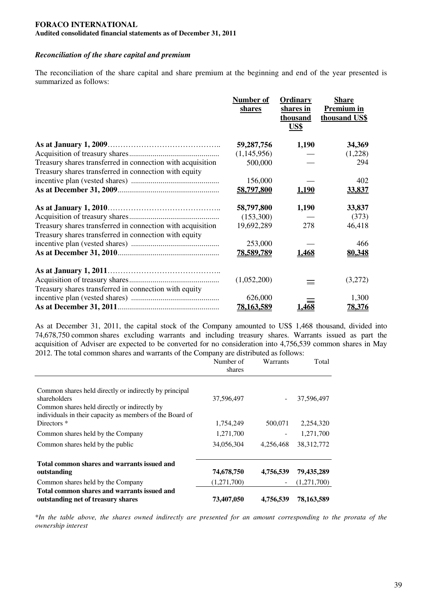### *Reconciliation of the share capital and premium*

The reconciliation of the share capital and share premium at the beginning and end of the year presented is summarized as follows:

|                                                            | Number of<br>shares | Ordinary<br>shares in<br>thousand<br>US\$ | <b>Share</b><br><b>Premium in</b><br>thousand US\$ |
|------------------------------------------------------------|---------------------|-------------------------------------------|----------------------------------------------------|
|                                                            | 59,287,756          | 1,190                                     | 34,369                                             |
|                                                            | (1,145,956)         |                                           | (1,228)                                            |
| Treasury shares transferred in connection with acquisition | 500,000             |                                           | 294                                                |
| Treasury shares transferred in connection with equity      |                     |                                           |                                                    |
|                                                            | 156,000             |                                           | 402                                                |
|                                                            | 58,797,800          | <u>1,190</u>                              | 33,837                                             |
|                                                            | 58,797,800          | 1,190                                     | 33,837                                             |
|                                                            | (153,300)           |                                           | (373)                                              |
| Treasury shares transferred in connection with acquisition | 19,692,289          | 278                                       | 46,418                                             |
| Treasury shares transferred in connection with equity      |                     |                                           |                                                    |
|                                                            | 253,000             |                                           | 466                                                |
|                                                            | 78,589,789          | 1,468                                     | 80,348                                             |
|                                                            |                     |                                           |                                                    |
|                                                            | (1,052,200)         | $=$                                       | (3,272)                                            |
| Treasury shares transferred in connection with equity      |                     |                                           |                                                    |
|                                                            | 626,000             |                                           | 1,300                                              |
|                                                            | 78,163,589          | 1,468                                     | 78,376                                             |

As at December 31, 2011, the capital stock of the Company amounted to US\$ 1,468 thousand, divided into 74,678,750 common shares excluding warrants and including treasury shares. Warrants issued as part the acquisition of Adviser are expected to be converted for no consideration into 4,756,539 common shares in May 2012. The total common shares and warrants of the Company are distributed as follows:

|                                                                                                                                                                                    | Number of<br>shares | Warrants          | Total        |
|------------------------------------------------------------------------------------------------------------------------------------------------------------------------------------|---------------------|-------------------|--------------|
| Common shares held directly or indirectly by principal<br>shareholders<br>Common shares held directly or indirectly by<br>individuals in their capacity as members of the Board of | 37,596,497          |                   | 37,596,497   |
| Directors <sup>*</sup>                                                                                                                                                             | 1,754,249           | 500,071           | 2,254,320    |
| Common shares held by the Company                                                                                                                                                  | 1,271,700           |                   | 1,271,700    |
| Common shares held by the public                                                                                                                                                   | 34,056,304          | 4,256,468         | 38, 312, 772 |
| Total common shares and warrants issued and<br>outstanding                                                                                                                         | 74,678,750          | 4,756,539         | 79,435,289   |
| Common shares held by the Company                                                                                                                                                  | (1,271,700)         | $\qquad \qquad -$ | (1,271,700)  |
| Total common shares and warrants issued and<br>outstanding net of treasury shares                                                                                                  | 73,407,050          | 4,756,539         | 78,163,589   |

\*In the table above, the shares owned indirectly are presented for an amount corresponding to the prorata of the *ownership interest*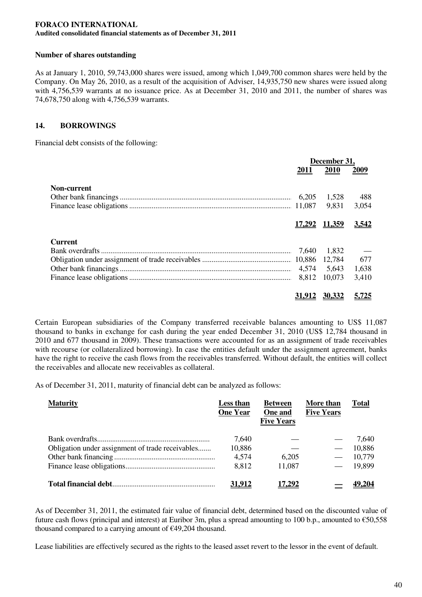## **Number of shares outstanding**

As at January 1, 2010, 59,743,000 shares were issued, among which 1,049,700 common shares were held by the Company. On May 26, 2010, as a result of the acquisition of Adviser, 14,935,750 new shares were issued along with 4,756,539 warrants at no issuance price. As at December 31, 2010 and 2011, the number of shares was 74,678,750 along with 4,756,539 warrants.

## **14. BORROWINGS**

Financial debt consists of the following:

|                    | December 31, |                      |              |
|--------------------|--------------|----------------------|--------------|
|                    | <b>2011</b>  | 2010                 | 2009         |
| <b>Non-current</b> |              |                      |              |
|                    |              | 1,528                | 488          |
|                    |              | 9.831                | 3,054        |
|                    |              |                      |              |
|                    |              | <u>17,292 11,359</u> | <u>3,542</u> |
| <b>Current</b>     |              |                      |              |
|                    | 7.640        | 1,832                |              |
|                    |              | 12,784               | 677          |
|                    | 4,574        | 5,643                | 1,638        |
|                    | 8,812        | 10,073               | 3,410        |
|                    |              | <u>30,332</u>        |              |

Certain European subsidiaries of the Company transferred receivable balances amounting to US\$ 11,087 thousand to banks in exchange for cash during the year ended December 31, 2010 (US\$ 12,784 thousand in 2010 and 677 thousand in 2009). These transactions were accounted for as an assignment of trade receivables with recourse (or collateralized borrowing). In case the entities default under the assignment agreement, banks have the right to receive the cash flows from the receivables transferred. Without default, the entities will collect the receivables and allocate new receivables as collateral.

As of December 31, 2011, maturity of financial debt can be analyzed as follows:

| <b>Maturity</b>                                  | Less than<br><b>One Year</b> | <b>Between</b><br>One and<br><b>Five Years</b> | More than<br><b>Five Years</b> | Total  |
|--------------------------------------------------|------------------------------|------------------------------------------------|--------------------------------|--------|
|                                                  | 7,640                        |                                                |                                | 7.640  |
| Obligation under assignment of trade receivables | 10,886                       |                                                |                                | 10,886 |
|                                                  | 4,574                        | 6,205                                          |                                | 10.779 |
|                                                  | 8,812                        | 11,087                                         |                                | 19,899 |
|                                                  | 31.912                       | 17.292                                         |                                |        |

As of December 31, 2011, the estimated fair value of financial debt, determined based on the discounted value of future cash flows (principal and interest) at Euribor 3m, plus a spread amounting to 100 b.p., amounted to  $\epsilon$ 50,558 thousand compared to a carrying amount of €49,204 thousand.

Lease liabilities are effectively secured as the rights to the leased asset revert to the lessor in the event of default.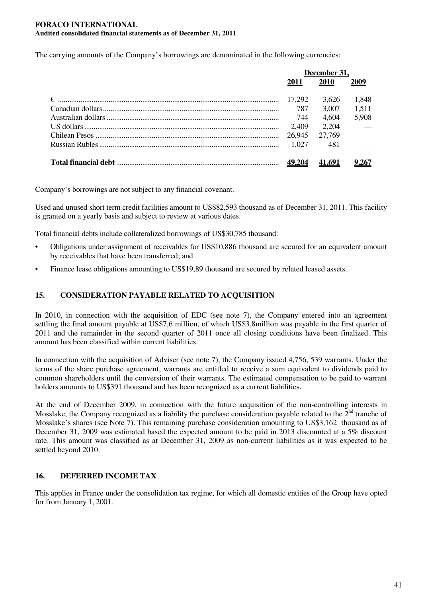The carrying amounts of the Company's borrowings are denominated in the following currencies:

| December 31. |             |            |
|--------------|-------------|------------|
| 2011         | <b>2010</b> | 2009       |
|              | 3.626       | 1,848      |
| 787          | 3.007       | 1,511      |
| 744          | 4,604       | 5,908      |
| 2,409        | 2.204       | $\sim$ $-$ |
| 26,945       | 27,769      | $\sim$     |
| 1.027        | -481        | $\sim$     |
|              |             |            |
|              |             |            |

Company's borrowings are not subject to any financial covenant.

Used and unused short term credit facilities amount to US\$82,593 thousand as of December 31, 2011. This facility is granted on a yearly basis and subject to review at various dates.

Total financial debts include collateralized borrowings of US\$30,785 thousand:

- Obligations under assignment of receivables for US\$10,886 thousand are secured for an equivalent amount by receivables that have been transferred; and
- Finance lease obligations amounting to US\$19,89 thousand are secured by related leased assets.

## **15. CONSIDERATION PAYABLE RELATED TO ACQUISITION**

In 2010, in connection with the acquisition of EDC (see note 7), the Company entered into an agreement settling the final amount payable at US\$7,6 million, of which US\$3,8million was payable in the first quarter of 2011 and the remainder in the second quarter of 2011 once all closing conditions have been finalized. This amount has been classified within current liabilities.

In connection with the acquisition of Adviser (see note 7), the Company issued 4,756, 539 warrants. Under the terms of the share purchase agreement, warrants are entitled to receive a sum equivalent to dividends paid to common shareholders until the conversion of their warrants. The estimated compensation to be paid to warrant holders amounts to US\$391 thousand and has been recognized as a current liabilities.

At the end of December 2009, in connection with the future acquisition of the non-controlling interests in Mosslake, the Company recognized as a liability the purchase consideration payable related to the  $2^{nd}$  tranche of Mosslake's shares (see Note 7). This remaining purchase consideration amounting to US\$3,162 thousand as of December 31, 2009 was estimated based the expected amount to be paid in 2013 discounted at a 5% discount rate. This amount was classified as at December 31, 2009 as non-current liabilities as it was expected to be settled beyond 2010.

## **16. DEFERRED INCOME TAX**

This applies in France under the consolidation tax regime, for which all domestic entities of the Group have opted for from January 1, 2001.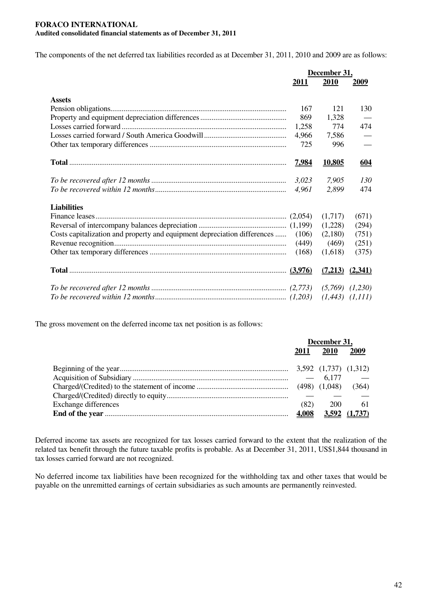The components of the net deferred tax liabilities recorded as at December 31, 2011, 2010 and 2009 are as follows:

|                                                                          |              | December 31,        |            |  |
|--------------------------------------------------------------------------|--------------|---------------------|------------|--|
|                                                                          | 2011         | 2010                | 2009       |  |
|                                                                          |              |                     |            |  |
| <b>Assets</b>                                                            |              |                     |            |  |
|                                                                          | 167          | 121                 | 130        |  |
|                                                                          | 869          | 1,328               |            |  |
|                                                                          | 1,258        | 774                 | 474        |  |
|                                                                          | 4,966        | 7,586               |            |  |
|                                                                          | 725          | 996                 |            |  |
|                                                                          | <u>7,984</u> | <u>10,805</u>       | <u>604</u> |  |
|                                                                          | 3,023        | 7,905               | 130        |  |
|                                                                          | 4,961        | 2,899               | 474        |  |
| <b>Liabilities</b>                                                       |              |                     |            |  |
|                                                                          |              | (1,717)             | (671)      |  |
|                                                                          |              | (1,228)             | (294)      |  |
| Costs capitalization and property and equipment depreciation differences | (106)        | (2,180)             | (751)      |  |
|                                                                          | (449)        | (469)               | (251)      |  |
|                                                                          |              |                     |            |  |
|                                                                          | (168)        | (1,618)             | (375)      |  |
|                                                                          |              | $(7,213)$ $(2,341)$ |            |  |
|                                                                          |              |                     |            |  |
|                                                                          |              |                     |            |  |

The gross movement on the deferred income tax net position is as follows:

|                             | December 31, |                             |               |
|-----------------------------|--------------|-----------------------------|---------------|
|                             | 2011         | <b>2010</b>                 | 2009          |
|                             |              | $3,592$ $(1,737)$ $(1,312)$ |               |
|                             |              | $-6,177$                    |               |
|                             |              |                             | (364)         |
|                             |              |                             |               |
| <b>Exchange differences</b> | (82)         | 200                         | 61            |
|                             | 4,008        |                             | 3,592 (1,737) |

Deferred income tax assets are recognized for tax losses carried forward to the extent that the realization of the related tax benefit through the future taxable profits is probable. As at December 31, 2011, US\$1,844 thousand in tax losses carried forward are not recognized.

No deferred income tax liabilities have been recognized for the withholding tax and other taxes that would be payable on the unremitted earnings of certain subsidiaries as such amounts are permanently reinvested.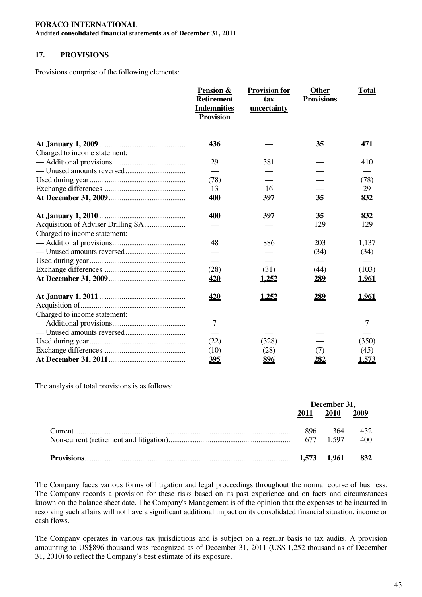#### **FORACO INTERNATIONAL**

**Audited consolidated financial statements as of December 31, 2011**

## **17. PROVISIONS**

Provisions comprise of the following elements:

|                              | Pension &<br><b>Retirement</b><br><b>Indemnities</b><br><b>Provision</b> | <b>Provision for</b><br>tax<br>uncertainty | <b>Other</b><br><b>Provisions</b> | <b>Total</b> |
|------------------------------|--------------------------------------------------------------------------|--------------------------------------------|-----------------------------------|--------------|
|                              | 436                                                                      |                                            | 35                                | 471          |
| Charged to income statement: |                                                                          |                                            |                                   |              |
|                              | 29                                                                       | 381                                        |                                   | 410          |
|                              |                                                                          |                                            |                                   |              |
|                              | (78)                                                                     |                                            |                                   | (78)         |
|                              | 13                                                                       | 16                                         |                                   | 29           |
|                              | <u>400</u>                                                               | <u>397</u>                                 | 35                                | <u>832</u>   |
|                              | 400                                                                      | 397                                        | 35                                | 832          |
|                              |                                                                          |                                            | 129                               | 129          |
| Charged to income statement: |                                                                          |                                            |                                   |              |
|                              | 48                                                                       | 886                                        | 203                               | 1,137        |
|                              |                                                                          |                                            | (34)                              | (34)         |
|                              |                                                                          |                                            |                                   |              |
|                              | (28)                                                                     | (31)                                       | (44)                              | (103)        |
|                              | <u>420</u>                                                               | <u>1,252</u>                               | <u>289</u>                        | <u>1,961</u> |
|                              | <u>420</u>                                                               | <u>1,252</u>                               | <u>289</u>                        | <u>1,961</u> |
|                              |                                                                          |                                            |                                   |              |
| Charged to income statement: |                                                                          |                                            |                                   |              |
|                              | 7                                                                        |                                            |                                   | 7            |
|                              |                                                                          |                                            |                                   |              |
|                              | (22)                                                                     | (328)                                      |                                   | (350)        |
|                              | (10)                                                                     | (28)                                       | (7)                               | (45)         |
|                              | 395                                                                      | 896                                        | 282                               | 1,573        |

The analysis of total provisions is as follows:

| December 31, |             |      |
|--------------|-------------|------|
| 2011         | <b>2010</b> | 2009 |
| 896          | 364         | 432  |
|              |             |      |
|              |             |      |

The Company faces various forms of litigation and legal proceedings throughout the normal course of business. The Company records a provision for these risks based on its past experience and on facts and circumstances known on the balance sheet date. The Company's Management is of the opinion that the expenses to be incurred in resolving such affairs will not have a significant additional impact on its consolidated financial situation, income or cash flows.

The Company operates in various tax jurisdictions and is subject on a regular basis to tax audits. A provision amounting to US\$896 thousand was recognized as of December 31, 2011 (US\$ 1,252 thousand as of December 31, 2010) to reflect the Company's best estimate of its exposure.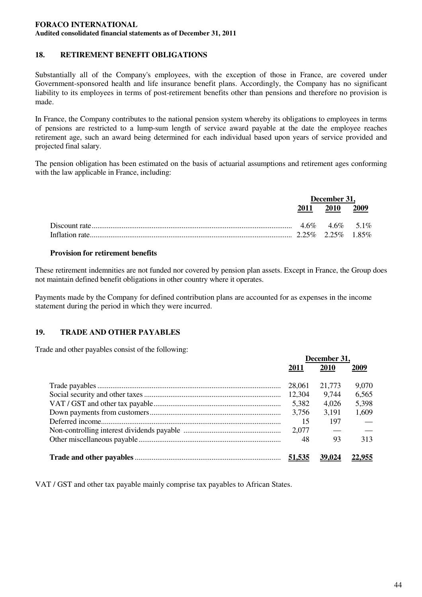## **18. RETIREMENT BENEFIT OBLIGATIONS**

Substantially all of the Company's employees, with the exception of those in France, are covered under Government-sponsored health and life insurance benefit plans. Accordingly, the Company has no significant liability to its employees in terms of post-retirement benefits other than pensions and therefore no provision is made.

In France, the Company contributes to the national pension system whereby its obligations to employees in terms of pensions are restricted to a lump-sum length of service award payable at the date the employee reaches retirement age, such an award being determined for each individual based upon years of service provided and projected final salary.

The pension obligation has been estimated on the basis of actuarial assumptions and retirement ages conforming with the law applicable in France, including:

| December 31, |                |  |
|--------------|----------------|--|
|              | 2011 2010 2009 |  |
|              |                |  |
|              |                |  |

### **Provision for retirement benefits**

These retirement indemnities are not funded nor covered by pension plan assets. Except in France, the Group does not maintain defined benefit obligations in other country where it operates.

Payments made by the Company for defined contribution plans are accounted for as expenses in the income statement during the period in which they were incurred.

## **19. TRADE AND OTHER PAYABLES**

Trade and other payables consist of the following:

| December 31. |        |       |
|--------------|--------|-------|
| 2011         | 2010   | 2009  |
| 28,061       | 21,773 | 9,070 |
| 12,304       | 9.744  | 6,565 |
| 5,382        | 4,026  | 5,398 |
| 3,756        | 3,191  | 1,609 |
| 15           | 197    |       |
| 2,077        |        |       |
| 48           | 93     | 313   |
|              |        |       |
|              | 39,024 |       |

VAT / GST and other tax payable mainly comprise tax payables to African States.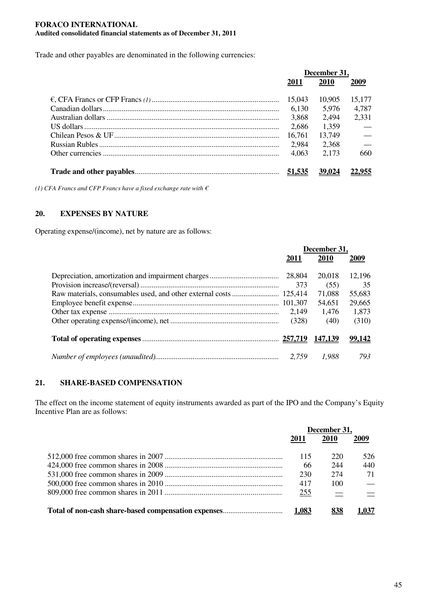Trade and other payables are denominated in the following currencies:

| December 31. |        |               |
|--------------|--------|---------------|
| <b>2011</b>  | 2010   | 2009          |
| 15,043       | 10.905 | 15,177        |
| 6,130        | 5,976  | 4,787         |
| 3,868        | 2,494  | 2,331         |
| 2,686        | 1,359  |               |
| 16,761       | 13,749 | $\frac{1}{1}$ |
| 2,984        | 2,368  | $\frac{1}{1}$ |
| 4,063        | 2,173  | 660           |
|              | 39,024 |               |

*(1) CFA Francs and CFP Francs have a fixed exchange rate with €*

## **20. EXPENSES BY NATURE**

Operating expense/(income), net by nature are as follows:

| December 31. |         |        |
|--------------|---------|--------|
| 2011         | 2010    | 2009   |
|              | 20,018  | 12,196 |
| 373          | (55)    | 35     |
|              | 71,088  | 55,683 |
|              | 54,651  | 29,665 |
| 2.149        | 1,476   | 1,873  |
| (328)        | (40)    | (310)  |
|              | 147.139 | 99.142 |
| 2,759        | 1.988   | 793    |

## **21. SHARE-BASED COMPENSATION**

The effect on the income statement of equity instruments awarded as part of the IPO and the Company's Equity Incentive Plan are as follows:

| December 31, |             |      |
|--------------|-------------|------|
| 2011         | <b>2010</b> | 2009 |
| 115          | 220         | 526. |
| 66           | 244         | 440  |
| 230          | 274         | 71   |
| 417          | 100         |      |
| 255          |             |      |
| 1.083        |             |      |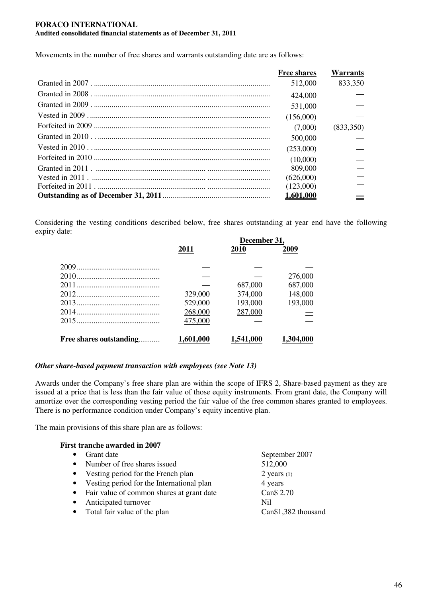Movements in the number of free shares and warrants outstanding date are as follows:

| <b>Free shares</b> | <b>Warrants</b> |
|--------------------|-----------------|
| 512,000            | 833,350         |
| 424,000            |                 |
| 531,000            |                 |
| (156,000)          |                 |
| (7,000)            | (833,350)       |
| 500,000            |                 |
| (253,000)          |                 |
| (10,000)           |                 |
| 809,000            |                 |
| (626,000)          |                 |
| (123,000)          |                 |
| <u>1,601,000</u>   |                 |

Considering the vesting conditions described below, free shares outstanding at year end have the following expiry date:

|                         |                  | December 31,     |           |  |
|-------------------------|------------------|------------------|-----------|--|
|                         | 2011             | <b>2010</b>      | 2009      |  |
|                         |                  |                  |           |  |
|                         |                  |                  | 276,000   |  |
|                         |                  | 687,000          | 687,000   |  |
|                         | 329,000          | 374,000          | 148,000   |  |
|                         | 529,000          | 193,000          | 193,000   |  |
|                         | 268,000          | 287,000          |           |  |
|                         | 475,000          |                  |           |  |
| Free shares outstanding | <u>1,601,000</u> | <u>1,541,000</u> | 1,304,000 |  |

## *Other share-based payment transaction with employees (see Note 13)*

Awards under the Company's free share plan are within the scope of IFRS 2, Share-based payment as they are issued at a price that is less than the fair value of those equity instruments. From grant date, the Company will amortize over the corresponding vesting period the fair value of the free common shares granted to employees. There is no performance condition under Company's equity incentive plan.

The main provisions of this share plan are as follows:

| <b>First tranche awarded in 2007</b>                   |                     |
|--------------------------------------------------------|---------------------|
| Grant date<br>$\bullet$                                | September 2007      |
| Number of free shares issued<br>$\bullet$              | 512,000             |
| Vesting period for the French plan<br>$\bullet$        | $2$ years $(1)$     |
| Vesting period for the International plan<br>$\bullet$ | 4 years             |
| Fair value of common shares at grant date<br>$\bullet$ | Can\$ 2.70          |
| Anticipated turnover<br>$\bullet$                      | Nil                 |
| Total fair value of the plan<br>$\bullet$              | Can\$1,382 thousand |
|                                                        |                     |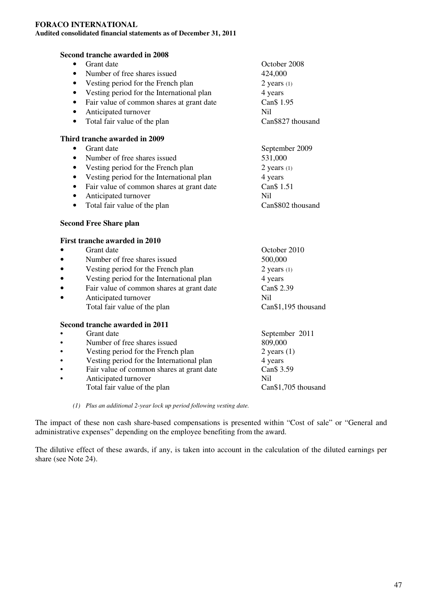**Second tranche awarded in 2008**

## • Grant date **October 2008** • Number of free shares issued 424,000 • Vesting period for the French plan  $2 \text{ years} (1)$ • Vesting period for the International plan 4 years • Fair value of common shares at grant date Can \$1.95 • Anticipated turnover Nil • Total fair value of the plan Can\$827 thousand **Third tranche awarded in 2009** • Grant date September 2009 • Number of free shares issued 531,000 • Vesting period for the French plan  $2 \text{ years } (1)$ • Vesting period for the International plan 4 years • Fair value of common shares at grant date Can \$1.51 • Anticipated turnover Nil • Total fair value of the plan Can\$802 thousand **Second Free Share plan First tranche awarded in 2010** • Grant date October 2010 • Number of free shares issued 500,000 • Vesting period for the French plan 2 years (1) Vesting period for the International plan 4 years

- Fair value of common shares at grant date Can \$2.39
- Anticipated turnover<br>
 Nil<br>
 Can S1.195 thousand<br>
 Can S1.195 thousand Total fair value of the plan

# **Second tranche awarded in 2011**

- 
- September 2011 • Number of free shares issued 809,000 • Vesting period for the French plan 2 years (1) Vesting period for the International plan 4 years<br>
Fair value of common shares at grant date Can \$3.59 • Fair value of common shares at grant date Anticipated turnover<br>
Total fair value of the plan<br>
Can S1,705 thousand
	- Total fair value of the plan
		- *(1) Plus an additional 2-year lock up period following vesting date.*

The impact of these non cash share-based compensations is presented within "Cost of sale" or "General and administrative expenses" depending on the employee benefiting from the award.

The dilutive effect of these awards, if any, is taken into account in the calculation of the diluted earnings per share (see Note 24).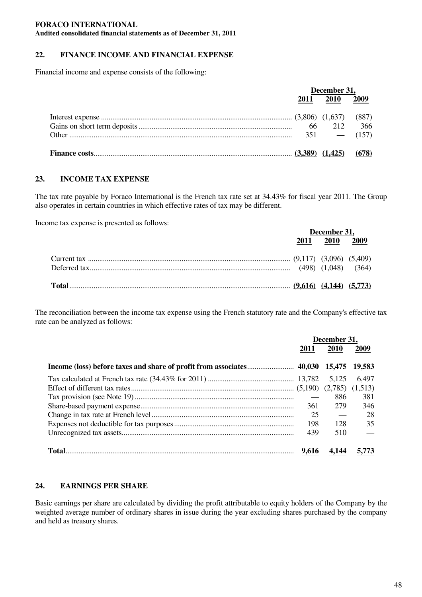#### **FORACO INTERNATIONAL**

**Audited consolidated financial statements as of December 31, 2011**

## **22. FINANCE INCOME AND FINANCIAL EXPENSE**

Financial income and expense consists of the following:

| December 31, |             |       |
|--------------|-------------|-------|
| 2011         | <b>2010</b> | 2009  |
|              |             |       |
|              |             | -366  |
|              |             |       |
|              |             | (678) |

#### **23. INCOME TAX EXPENSE**

The tax rate payable by Foraco International is the French tax rate set at 34.43% for fiscal year 2011. The Group also operates in certain countries in which effective rates of tax may be different.

Income tax expense is presented as follows:

| December 31, |           |  |
|--------------|-----------|--|
| 2011         | 2010 2009 |  |
|              |           |  |
|              |           |  |

The reconciliation between the income tax expense using the French statutory rate and the Company's effective tax rate can be analyzed as follows:

| December 31, |       |        |
|--------------|-------|--------|
| 2011         | 2010  | 2009   |
|              |       | 19,583 |
|              | 5.125 | 6.497  |
|              |       |        |
|              | 886   | 381    |
| 361          | 279   | 346    |
| 25           |       | 28     |
| 198          | 128   | 35     |
| 439          | 510   |        |
| <u>9,616</u> |       |        |

#### **24. EARNINGS PER SHARE**

Basic earnings per share are calculated by dividing the profit attributable to equity holders of the Company by the weighted average number of ordinary shares in issue during the year excluding shares purchased by the company and held as treasury shares.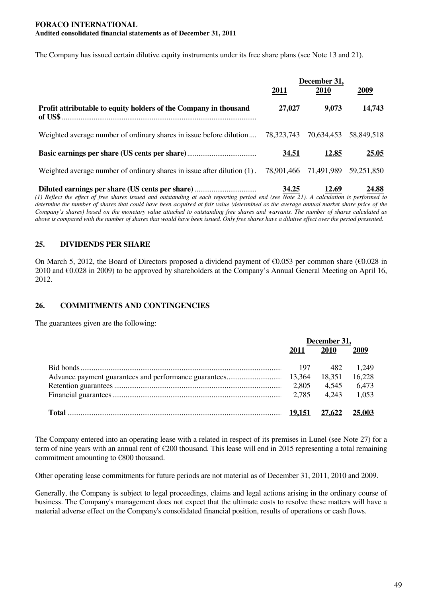The Company has issued certain dilutive equity instruments under its free share plans (see Note 13 and 21).

|                                                                                                                                                                                                                                     | December 31, |              |                       |
|-------------------------------------------------------------------------------------------------------------------------------------------------------------------------------------------------------------------------------------|--------------|--------------|-----------------------|
|                                                                                                                                                                                                                                     | <u>2011</u>  | <b>2010</b>  | 2009                  |
| Profit attributable to equity holders of the Company in thousand                                                                                                                                                                    | 27,027       | 9,073        | 14,743                |
| Weighted average number of ordinary shares in issue before dilution                                                                                                                                                                 | 78,323,743   |              | 70,634,453 58,849,518 |
|                                                                                                                                                                                                                                     | <u>34.51</u> | <u>12.85</u> | <b>25.05</b>          |
| Weighted average number of ordinary shares in issue after dilution $(1)$ . 78,901,466 71,491,989                                                                                                                                    |              |              | 59.251.850            |
| $\overline{1}$ as a set of the set of the set of the set of the set of the set of the set of the set of the set of the set of the set of the set of the set of the set of the set of the set of the set of the set of the set of th | <u>34.25</u> | <u>12.69</u> | <u>24.88</u>          |

(1) Reflect the effect of free shares issued and outstanding at each reporting period end (see Note 21). A calculation is performed to determine the number of shares that could have been acquired at fair value (determined as the average annual market share price of the Company's shares) based on the monetary value attached to outstanding free shares and warrants. The number of shares calculated as above is compared with the number of shares that would have been issued. Only free shares have a dilutive effect over the period presented.

## **25. DIVIDENDS PER SHARE**

On March 5, 2012, the Board of Directors proposed a dividend payment of  $\epsilon$ 0.053 per common share ( $\epsilon$ 0.028 in 2010 and  $\epsilon$ 0.028 in 2009) to be approved by shareholders at the Company's Annual General Meeting on April 16, 2012.

## **26. COMMITMENTS AND CONTINGENCIES**

The guarantees given are the following:

| December 31, |               |        |
|--------------|---------------|--------|
| 2011         | <b>2010</b>   | 2009   |
| 197          | 482           | 1.249  |
|              | 18,351        | 16,228 |
| 2,805        | 4,545         | 6,473  |
| 2.785        | 4.243         | 1.053  |
|              | <u>27.622</u> | 25.003 |

The Company entered into an operating lease with a related in respect of its premises in Lunel (see Note 27) for a term of nine years with an annual rent of €200 thousand. This lease will end in 2015 representing a total remaining commitment amounting to €800 thousand.

Other operating lease commitments for future periods are not material as of December 31, 2011, 2010 and 2009.

Generally, the Company is subject to legal proceedings, claims and legal actions arising in the ordinary course of business. The Company's management does not expect that the ultimate costs to resolve these matters will have a material adverse effect on the Company's consolidated financial position, results of operations or cash flows.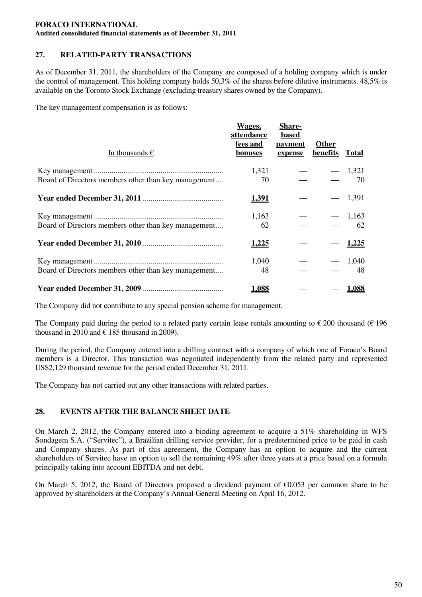# **27. RELATED-PARTY TRANSACTIONS**

As of December 31, 2011, the shareholders of the Company are composed of a holding company which is under the control of management. This holding company holds 50,3% of the shares before dilutive instruments. 48,5% is available on the Toronto Stock Exchange (excluding treasury shares owned by the Company).

The key management compensation is as follows:

| In thousands $\epsilon$                              | Wages,<br>attendance<br>fees and<br>bonuses | <b>Share-</b><br>based<br>payment<br>expense | Other<br>benefits | <b>Total</b> |
|------------------------------------------------------|---------------------------------------------|----------------------------------------------|-------------------|--------------|
|                                                      | 1,321                                       |                                              |                   | $-1,321$     |
| Board of Directors members other than key management | 70                                          |                                              |                   | 70           |
|                                                      | 1,391                                       |                                              |                   | 1,391        |
|                                                      | 1,163                                       |                                              |                   | $-1,163$     |
| Board of Directors members other than key management | 62                                          |                                              |                   | 62           |
|                                                      | 1,225                                       |                                              |                   | <u>1,225</u> |
|                                                      | 1,040                                       |                                              |                   | 1,040        |
| Board of Directors members other than key management | 48                                          |                                              |                   | 48           |
|                                                      | 1,088                                       |                                              |                   | 1,088        |

The Company did not contribute to any special pension scheme for management.

The Company paid during the period to a related party certain lease rentals amounting to  $\epsilon$  200 thousand ( $\epsilon$  196 thousand in 2010 and  $\in$  185 thousand in 2009).

During the period, the Company entered into a drilling contract with a company of which one of Foraco's Board members is a Director. This transaction was negotiated independently from the related party and represented US\$2,129 thousand revenue for the period ended December 31, 2011.

The Company has not carried out any other transactions with related parties.

## **28. EVENTS AFTER THE BALANCE SHEET DATE**

On March 2, 2012, the Company entered into a binding agreement to acquire a 51% shareholding in WFS Sondagem S.A. ("Servitec"), a Brazilian drilling service provider, for a predetermined price to be paid in cash and Company shares. As part of this agreement, the Company has an option to acquire and the current shareholders of Servitec have an option to sell the remaining 49% after three years at a price based on a formula principally taking into account EBITDA and net debt.

On March 5, 2012, the Board of Directors proposed a dividend payment of €0.053 per common share to be approved by shareholders at the Company's Annual General Meeting on April 16, 2012.